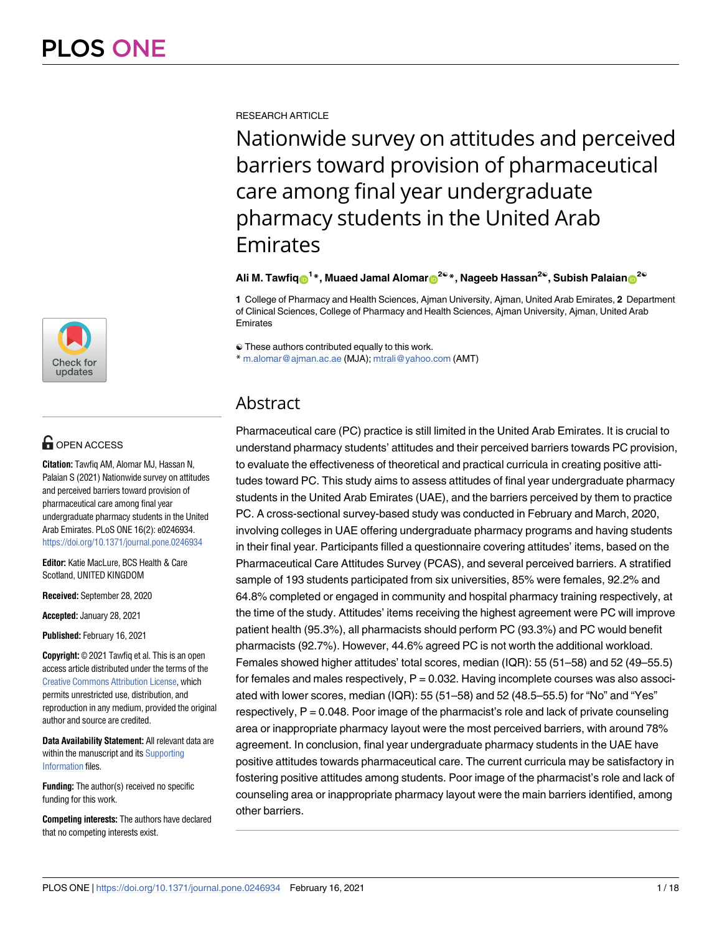

# **OPEN ACCESS**

**Citation:** Tawfiq AM, Alomar MJ, Hassan N, Palaian S (2021) Nationwide survey on attitudes and perceived barriers toward provision of pharmaceutical care among final year undergraduate pharmacy students in the United Arab Emirates. PLoS ONE 16(2): e0246934. <https://doi.org/10.1371/journal.pone.0246934>

**Editor:** Katie MacLure, BCS Health & Care Scotland, UNITED KINGDOM

**Received:** September 28, 2020

**Accepted:** January 28, 2021

**Published:** February 16, 2021

**Copyright:** © 2021 Tawfiq et al. This is an open access article distributed under the terms of the [Creative Commons Attribution License,](http://creativecommons.org/licenses/by/4.0/) which permits unrestricted use, distribution, and reproduction in any medium, provided the original author and source are credited.

**Data Availability Statement:** All relevant data are within the manuscript and its [Supporting](#page-14-0) [Information](#page-14-0) files.

**Funding:** The author(s) received no specific funding for this work.

**Competing interests:** The authors have declared that no competing interests exist.

RESEARCH ARTICLE

Nationwide survey on attitudes and perceived barriers toward provision of pharmaceutical care among final year undergraduate pharmacy students in the United Arab Emirates

 $\blacksquare$ Ali M. Tawfiq $\blacksquare^{1*}$ , Muaed Jamal Alomar $\blacksquare^{2\heartsuit*}$ , Nageeb Hassan $^{2\heartsuit}$ , Subish Palaian $\blacksquare^{2\heartsuit}$ 

**1** College of Pharmacy and Health Sciences, Ajman University, Ajman, United Arab Emirates, **2** Department of Clinical Sciences, College of Pharmacy and Health Sciences, Ajman University, Ajman, United Arab Emirates

☯ These authors contributed equally to this work.

\* m.alomar@ajman.ac.ae (MJA); mtrali@yahoo.com (AMT)

# Abstract

Pharmaceutical care (PC) practice is still limited in the United Arab Emirates. It is crucial to understand pharmacy students' attitudes and their perceived barriers towards PC provision, to evaluate the effectiveness of theoretical and practical curricula in creating positive attitudes toward PC. This study aims to assess attitudes of final year undergraduate pharmacy students in the United Arab Emirates (UAE), and the barriers perceived by them to practice PC. A cross-sectional survey-based study was conducted in February and March, 2020, involving colleges in UAE offering undergraduate pharmacy programs and having students in their final year. Participants filled a questionnaire covering attitudes' items, based on the Pharmaceutical Care Attitudes Survey (PCAS), and several perceived barriers. A stratified sample of 193 students participated from six universities, 85% were females, 92.2% and 64.8% completed or engaged in community and hospital pharmacy training respectively, at the time of the study. Attitudes' items receiving the highest agreement were PC will improve patient health (95.3%), all pharmacists should perform PC (93.3%) and PC would benefit pharmacists (92.7%). However, 44.6% agreed PC is not worth the additional workload. Females showed higher attitudes' total scores, median (IQR): 55 (51–58) and 52 (49–55.5) for females and males respectively,  $P = 0.032$ . Having incomplete courses was also associated with lower scores, median (IQR): 55 (51–58) and 52 (48.5–55.5) for "No" and "Yes" respectively, P = 0.048. Poor image of the pharmacist's role and lack of private counseling area or inappropriate pharmacy layout were the most perceived barriers, with around 78% agreement. In conclusion, final year undergraduate pharmacy students in the UAE have positive attitudes towards pharmaceutical care. The current curricula may be satisfactory in fostering positive attitudes among students. Poor image of the pharmacist's role and lack of counseling area or inappropriate pharmacy layout were the main barriers identified, among other barriers.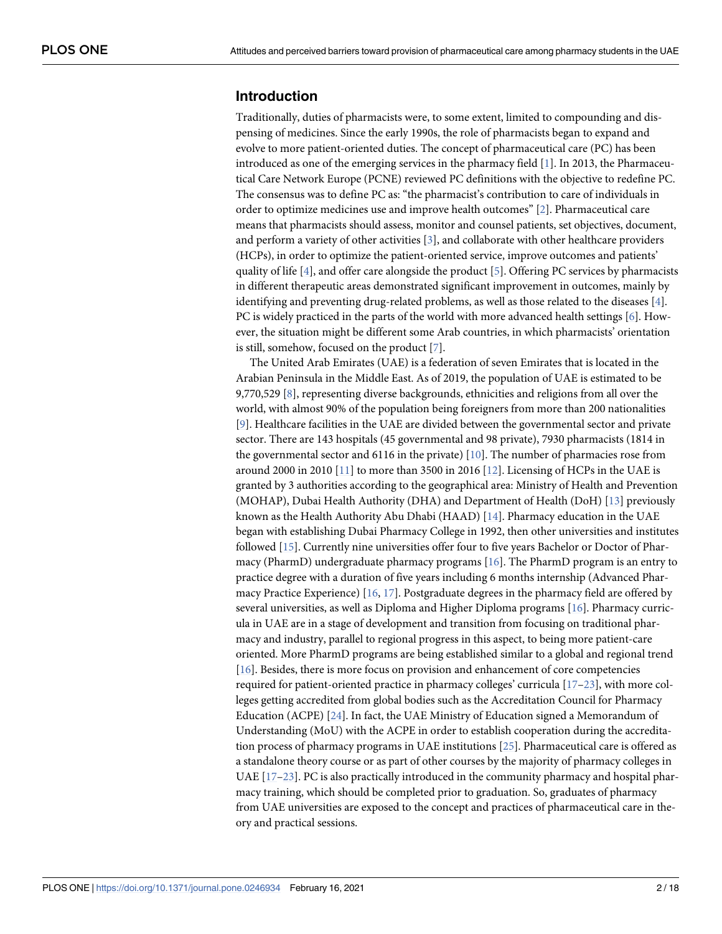# <span id="page-1-0"></span>**Introduction**

Traditionally, duties of pharmacists were, to some extent, limited to compounding and dispensing of medicines. Since the early 1990s, the role of pharmacists began to expand and evolve to more patient-oriented duties. The concept of pharmaceutical care (PC) has been introduced as one of the emerging services in the pharmacy field [[1](#page-15-0)]. In 2013, the Pharmaceutical Care Network Europe (PCNE) reviewed PC definitions with the objective to redefine PC. The consensus was to define PC as: "the pharmacist's contribution to care of individuals in order to optimize medicines use and improve health outcomes" [\[2\]](#page-15-0). Pharmaceutical care means that pharmacists should assess, monitor and counsel patients, set objectives, document, and perform a variety of other activities  $[3]$  $[3]$ , and collaborate with other healthcare providers (HCPs), in order to optimize the patient-oriented service, improve outcomes and patients' quality of life [[4](#page-15-0)], and offer care alongside the product [\[5\]](#page-15-0). Offering PC services by pharmacists in different therapeutic areas demonstrated significant improvement in outcomes, mainly by identifying and preventing drug-related problems, as well as those related to the diseases [[4\]](#page-15-0). PC is widely practiced in the parts of the world with more advanced health settings  $[6]$  $[6]$  $[6]$ . However, the situation might be different some Arab countries, in which pharmacists' orientation is still, somehow, focused on the product [\[7](#page-15-0)].

The United Arab Emirates (UAE) is a federation of seven Emirates that is located in the Arabian Peninsula in the Middle East. As of 2019, the population of UAE is estimated to be 9,770,529 [\[8](#page-15-0)], representing diverse backgrounds, ethnicities and religions from all over the world, with almost 90% of the population being foreigners from more than 200 nationalities [\[9](#page-15-0)]. Healthcare facilities in the UAE are divided between the governmental sector and private sector. There are 143 hospitals (45 governmental and 98 private), 7930 pharmacists (1814 in the governmental sector and 6116 in the private)  $[10]$  $[10]$  $[10]$ . The number of pharmacies rose from around 2000 in 2010  $[11]$  $[11]$  $[11]$  to more than 3500 in 2016  $[12]$  $[12]$  $[12]$ . Licensing of HCPs in the UAE is granted by 3 authorities according to the geographical area: Ministry of Health and Prevention (MOHAP), Dubai Health Authority (DHA) and Department of Health (DoH) [\[13\]](#page-15-0) previously known as the Health Authority Abu Dhabi (HAAD) [\[14\]](#page-15-0). Pharmacy education in the UAE began with establishing Dubai Pharmacy College in 1992, then other universities and institutes followed [[15](#page-15-0)]. Currently nine universities offer four to five years Bachelor or Doctor of Pharmacy (PharmD) undergraduate pharmacy programs [\[16\]](#page-15-0). The PharmD program is an entry to practice degree with a duration of five years including 6 months internship (Advanced Pharmacy Practice Experience)  $[16, 17]$  $[16, 17]$  $[16, 17]$ . Postgraduate degrees in the pharmacy field are offered by several universities, as well as Diploma and Higher Diploma programs [[16](#page-15-0)]. Pharmacy curricula in UAE are in a stage of development and transition from focusing on traditional pharmacy and industry, parallel to regional progress in this aspect, to being more patient-care oriented. More PharmD programs are being established similar to a global and regional trend [\[16\]](#page-15-0). Besides, there is more focus on provision and enhancement of core competencies required for patient-oriented practice in pharmacy colleges' curricula [[17](#page-15-0)[–23\]](#page-16-0), with more colleges getting accredited from global bodies such as the Accreditation Council for Pharmacy Education (ACPE) [\[24\]](#page-16-0). In fact, the UAE Ministry of Education signed a Memorandum of Understanding (MoU) with the ACPE in order to establish cooperation during the accreditation process of pharmacy programs in UAE institutions [[25](#page-16-0)]. Pharmaceutical care is offered as a standalone theory course or as part of other courses by the majority of pharmacy colleges in UAE [\[17–](#page-15-0)[23\]](#page-16-0). PC is also practically introduced in the community pharmacy and hospital pharmacy training, which should be completed prior to graduation. So, graduates of pharmacy from UAE universities are exposed to the concept and practices of pharmaceutical care in theory and practical sessions.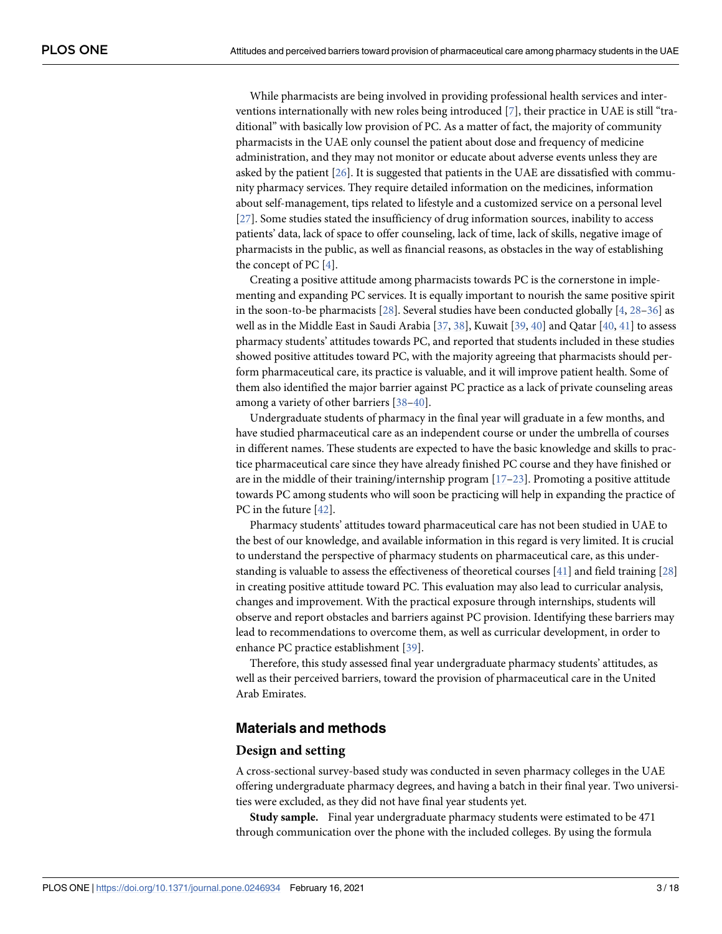<span id="page-2-0"></span>While pharmacists are being involved in providing professional health services and interventions internationally with new roles being introduced [[7](#page-15-0)], their practice in UAE is still "traditional" with basically low provision of PC. As a matter of fact, the majority of community pharmacists in the UAE only counsel the patient about dose and frequency of medicine administration, and they may not monitor or educate about adverse events unless they are asked by the patient  $[26]$  $[26]$  $[26]$ . It is suggested that patients in the UAE are dissatisfied with community pharmacy services. They require detailed information on the medicines, information about self-management, tips related to lifestyle and a customized service on a personal level [\[27\]](#page-16-0). Some studies stated the insufficiency of drug information sources, inability to access patients' data, lack of space to offer counseling, lack of time, lack of skills, negative image of pharmacists in the public, as well as financial reasons, as obstacles in the way of establishing the concept of PC [\[4](#page-15-0)].

Creating a positive attitude among pharmacists towards PC is the cornerstone in implementing and expanding PC services. It is equally important to nourish the same positive spirit in the soon-to-be pharmacists  $[28]$  $[28]$  $[28]$ . Several studies have been conducted globally  $[4, 28-36]$  $[4, 28-36]$  as well as in the Middle East in Saudi Arabia [[37](#page-16-0), [38](#page-16-0)], Kuwait [[39](#page-16-0), [40\]](#page-16-0) and Qatar [\[40,](#page-16-0) [41\]](#page-16-0) to assess pharmacy students' attitudes towards PC, and reported that students included in these studies showed positive attitudes toward PC, with the majority agreeing that pharmacists should perform pharmaceutical care, its practice is valuable, and it will improve patient health. Some of them also identified the major barrier against PC practice as a lack of private counseling areas among a variety of other barriers [\[38–40](#page-16-0)].

Undergraduate students of pharmacy in the final year will graduate in a few months, and have studied pharmaceutical care as an independent course or under the umbrella of courses in different names. These students are expected to have the basic knowledge and skills to practice pharmaceutical care since they have already finished PC course and they have finished or are in the middle of their training/internship program [\[17–](#page-15-0)[23\]](#page-16-0). Promoting a positive attitude towards PC among students who will soon be practicing will help in expanding the practice of PC in the future [\[42\]](#page-16-0).

Pharmacy students' attitudes toward pharmaceutical care has not been studied in UAE to the best of our knowledge, and available information in this regard is very limited. It is crucial to understand the perspective of pharmacy students on pharmaceutical care, as this understanding is valuable to assess the effectiveness of theoretical courses [\[41\]](#page-16-0) and field training [[28](#page-16-0)] in creating positive attitude toward PC. This evaluation may also lead to curricular analysis, changes and improvement. With the practical exposure through internships, students will observe and report obstacles and barriers against PC provision. Identifying these barriers may lead to recommendations to overcome them, as well as curricular development, in order to enhance PC practice establishment [\[39\]](#page-16-0).

Therefore, this study assessed final year undergraduate pharmacy students' attitudes, as well as their perceived barriers, toward the provision of pharmaceutical care in the United Arab Emirates.

# **Materials and methods**

#### **Design and setting**

A cross-sectional survey-based study was conducted in seven pharmacy colleges in the UAE offering undergraduate pharmacy degrees, and having a batch in their final year. Two universities were excluded, as they did not have final year students yet.

**Study sample.** Final year undergraduate pharmacy students were estimated to be 471 through communication over the phone with the included colleges. By using the formula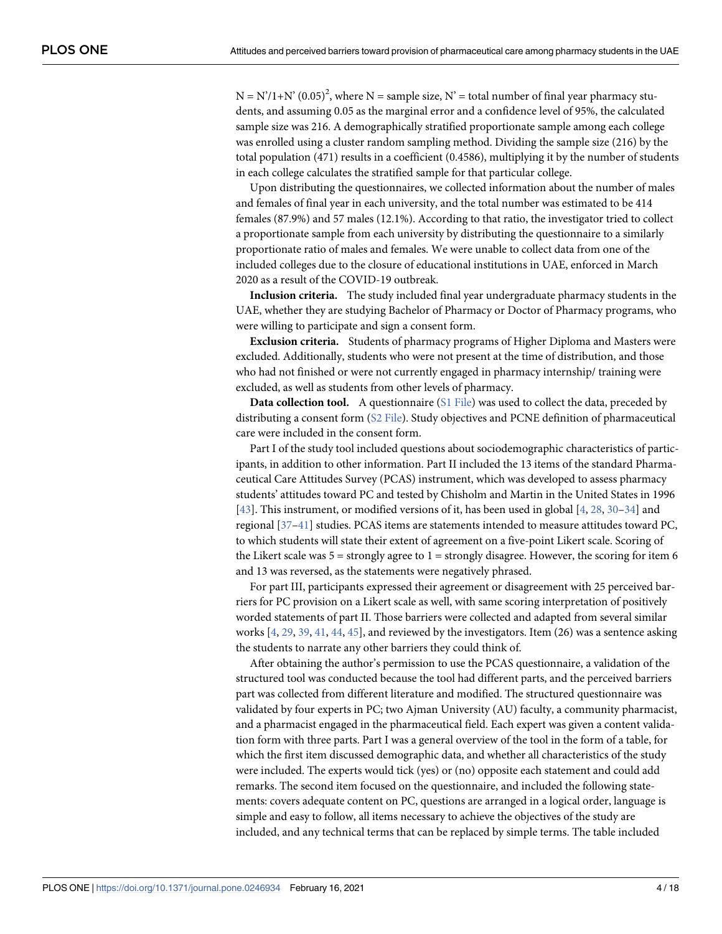<span id="page-3-0"></span> $N = N'/1 + N' (0.05)^2$ , where  $N =$  sample size,  $N' =$  total number of final year pharmacy students, and assuming 0.05 as the marginal error and a confidence level of 95%, the calculated sample size was 216. A demographically stratified proportionate sample among each college was enrolled using a cluster random sampling method. Dividing the sample size (216) by the total population (471) results in a coefficient (0.4586), multiplying it by the number of students in each college calculates the stratified sample for that particular college.

Upon distributing the questionnaires, we collected information about the number of males and females of final year in each university, and the total number was estimated to be 414 females (87.9%) and 57 males (12.1%). According to that ratio, the investigator tried to collect a proportionate sample from each university by distributing the questionnaire to a similarly proportionate ratio of males and females. We were unable to collect data from one of the included colleges due to the closure of educational institutions in UAE, enforced in March 2020 as a result of the COVID-19 outbreak.

**Inclusion criteria.** The study included final year undergraduate pharmacy students in the UAE, whether they are studying Bachelor of Pharmacy or Doctor of Pharmacy programs, who were willing to participate and sign a consent form.

**Exclusion criteria.** Students of pharmacy programs of Higher Diploma and Masters were excluded. Additionally, students who were not present at the time of distribution, and those who had not finished or were not currently engaged in pharmacy internship/ training were excluded, as well as students from other levels of pharmacy.

**Data collection tool.** A questionnaire ([S1 File](#page-14-0)) was used to collect the data, preceded by distributing a consent form ([S2 File\)](#page-14-0). Study objectives and PCNE definition of pharmaceutical care were included in the consent form.

Part I of the study tool included questions about sociodemographic characteristics of participants, in addition to other information. Part II included the 13 items of the standard Pharmaceutical Care Attitudes Survey (PCAS) instrument, which was developed to assess pharmacy students' attitudes toward PC and tested by Chisholm and Martin in the United States in 1996 [\[43\]](#page-17-0). This instrument, or modified versions of it, has been used in global [[4,](#page-15-0) [28,](#page-16-0) [30–34](#page-16-0)] and regional [\[37–41](#page-16-0)] studies. PCAS items are statements intended to measure attitudes toward PC, to which students will state their extent of agreement on a five-point Likert scale. Scoring of the Likert scale was  $5 =$  strongly agree to  $1 =$  strongly disagree. However, the scoring for item 6 and 13 was reversed, as the statements were negatively phrased.

For part III, participants expressed their agreement or disagreement with 25 perceived barriers for PC provision on a Likert scale as well, with same scoring interpretation of positively worded statements of part II. Those barriers were collected and adapted from several similar works  $[4, 29, 39, 41, 44, 45]$  $[4, 29, 39, 41, 44, 45]$  $[4, 29, 39, 41, 44, 45]$  $[4, 29, 39, 41, 44, 45]$  $[4, 29, 39, 41, 44, 45]$  $[4, 29, 39, 41, 44, 45]$  $[4, 29, 39, 41, 44, 45]$  $[4, 29, 39, 41, 44, 45]$  $[4, 29, 39, 41, 44, 45]$  $[4, 29, 39, 41, 44, 45]$  $[4, 29, 39, 41, 44, 45]$  $[4, 29, 39, 41, 44, 45]$  $[4, 29, 39, 41, 44, 45]$ , and reviewed by the investigators. Item (26) was a sentence asking the students to narrate any other barriers they could think of.

After obtaining the author's permission to use the PCAS questionnaire, a validation of the structured tool was conducted because the tool had different parts, and the perceived barriers part was collected from different literature and modified. The structured questionnaire was validated by four experts in PC; two Ajman University (AU) faculty, a community pharmacist, and a pharmacist engaged in the pharmaceutical field. Each expert was given a content validation form with three parts. Part I was a general overview of the tool in the form of a table, for which the first item discussed demographic data, and whether all characteristics of the study were included. The experts would tick (yes) or (no) opposite each statement and could add remarks. The second item focused on the questionnaire, and included the following statements: covers adequate content on PC, questions are arranged in a logical order, language is simple and easy to follow, all items necessary to achieve the objectives of the study are included, and any technical terms that can be replaced by simple terms. The table included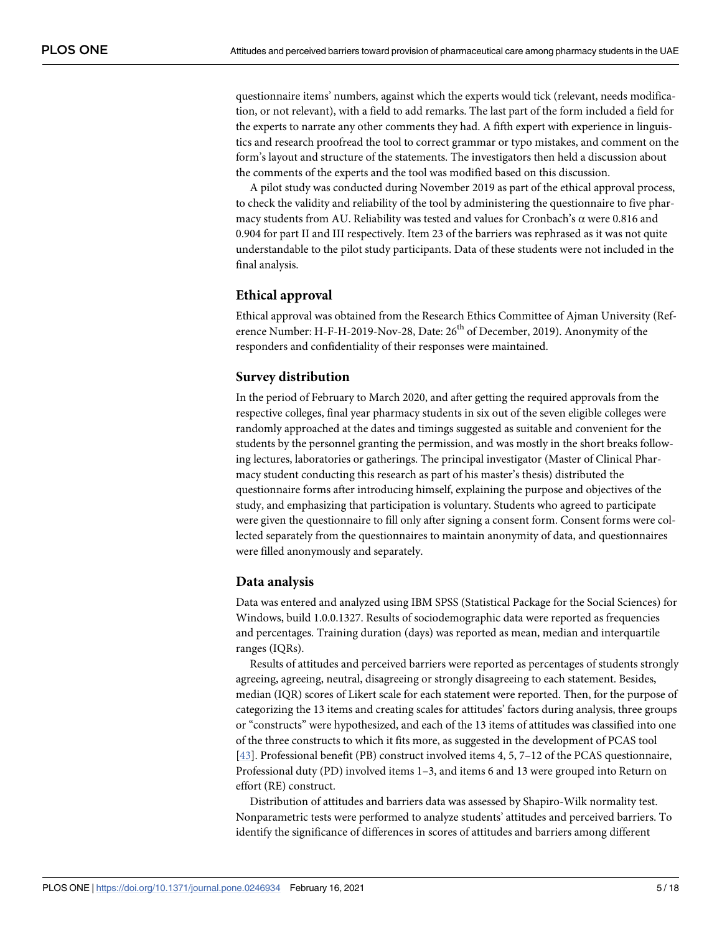questionnaire items' numbers, against which the experts would tick (relevant, needs modification, or not relevant), with a field to add remarks. The last part of the form included a field for the experts to narrate any other comments they had. A fifth expert with experience in linguistics and research proofread the tool to correct grammar or typo mistakes, and comment on the form's layout and structure of the statements. The investigators then held a discussion about the comments of the experts and the tool was modified based on this discussion.

A pilot study was conducted during November 2019 as part of the ethical approval process, to check the validity and reliability of the tool by administering the questionnaire to five pharmacy students from AU. Reliability was tested and values for Cronbach's  $\alpha$  were 0.816 and 0.904 for part II and III respectively. Item 23 of the barriers was rephrased as it was not quite understandable to the pilot study participants. Data of these students were not included in the final analysis.

### **Ethical approval**

Ethical approval was obtained from the Research Ethics Committee of Ajman University (Reference Number: H-F-H-2019-Nov-28, Date: 26<sup>th</sup> of December, 2019). Anonymity of the responders and confidentiality of their responses were maintained.

### **Survey distribution**

In the period of February to March 2020, and after getting the required approvals from the respective colleges, final year pharmacy students in six out of the seven eligible colleges were randomly approached at the dates and timings suggested as suitable and convenient for the students by the personnel granting the permission, and was mostly in the short breaks following lectures, laboratories or gatherings. The principal investigator (Master of Clinical Pharmacy student conducting this research as part of his master's thesis) distributed the questionnaire forms after introducing himself, explaining the purpose and objectives of the study, and emphasizing that participation is voluntary. Students who agreed to participate were given the questionnaire to fill only after signing a consent form. Consent forms were collected separately from the questionnaires to maintain anonymity of data, and questionnaires were filled anonymously and separately.

### **Data analysis**

Data was entered and analyzed using IBM SPSS (Statistical Package for the Social Sciences) for Windows, build 1.0.0.1327. Results of sociodemographic data were reported as frequencies and percentages. Training duration (days) was reported as mean, median and interquartile ranges (IQRs).

Results of attitudes and perceived barriers were reported as percentages of students strongly agreeing, agreeing, neutral, disagreeing or strongly disagreeing to each statement. Besides, median (IQR) scores of Likert scale for each statement were reported. Then, for the purpose of categorizing the 13 items and creating scales for attitudes' factors during analysis, three groups or "constructs" were hypothesized, and each of the 13 items of attitudes was classified into one of the three constructs to which it fits more, as suggested in the development of PCAS tool [\[43\]](#page-17-0). Professional benefit (PB) construct involved items 4, 5, 7–12 of the PCAS questionnaire, Professional duty (PD) involved items 1–3, and items 6 and 13 were grouped into Return on effort (RE) construct.

Distribution of attitudes and barriers data was assessed by Shapiro-Wilk normality test. Nonparametric tests were performed to analyze students' attitudes and perceived barriers. To identify the significance of differences in scores of attitudes and barriers among different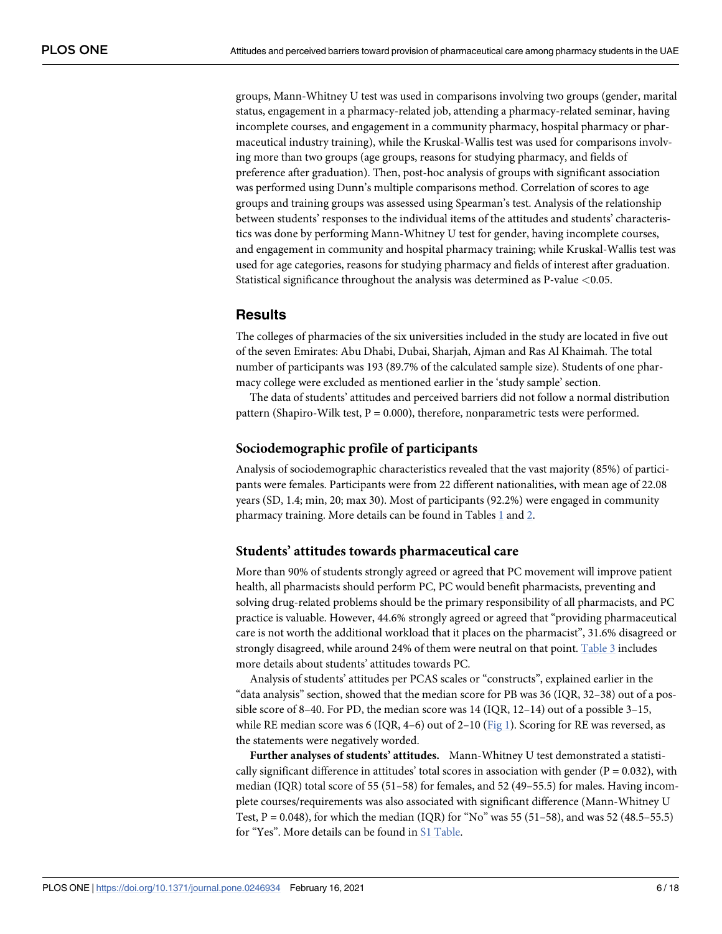<span id="page-5-0"></span>groups, Mann-Whitney U test was used in comparisons involving two groups (gender, marital status, engagement in a pharmacy-related job, attending a pharmacy-related seminar, having incomplete courses, and engagement in a community pharmacy, hospital pharmacy or pharmaceutical industry training), while the Kruskal-Wallis test was used for comparisons involving more than two groups (age groups, reasons for studying pharmacy, and fields of preference after graduation). Then, post-hoc analysis of groups with significant association was performed using Dunn's multiple comparisons method. Correlation of scores to age groups and training groups was assessed using Spearman's test. Analysis of the relationship between students' responses to the individual items of the attitudes and students' characteristics was done by performing Mann-Whitney U test for gender, having incomplete courses, and engagement in community and hospital pharmacy training; while Kruskal-Wallis test was used for age categories, reasons for studying pharmacy and fields of interest after graduation. Statistical significance throughout the analysis was determined as P-value *<*0.05.

# **Results**

The colleges of pharmacies of the six universities included in the study are located in five out of the seven Emirates: Abu Dhabi, Dubai, Sharjah, Ajman and Ras Al Khaimah. The total number of participants was 193 (89.7% of the calculated sample size). Students of one pharmacy college were excluded as mentioned earlier in the 'study sample' section.

The data of students' attitudes and perceived barriers did not follow a normal distribution pattern (Shapiro-Wilk test,  $P = 0.000$ ), therefore, nonparametric tests were performed.

### **Sociodemographic profile of participants**

Analysis of sociodemographic characteristics revealed that the vast majority (85%) of participants were females. Participants were from 22 different nationalities, with mean age of 22.08 years (SD, 1.4; min, 20; max 30). Most of participants (92.2%) were engaged in community pharmacy training. More details can be found in Tables  $1$  and  $2$ .

### **Students' attitudes towards pharmaceutical care**

More than 90% of students strongly agreed or agreed that PC movement will improve patient health, all pharmacists should perform PC, PC would benefit pharmacists, preventing and solving drug-related problems should be the primary responsibility of all pharmacists, and PC practice is valuable. However, 44.6% strongly agreed or agreed that "providing pharmaceutical care is not worth the additional workload that it places on the pharmacist", 31.6% disagreed or strongly disagreed, while around 24% of them were neutral on that point. [Table 3](#page-7-0) includes more details about students' attitudes towards PC.

Analysis of students' attitudes per PCAS scales or "constructs", explained earlier in the "data analysis" section, showed that the median score for PB was 36 (IQR, 32–38) out of a possible score of 8–40. For PD, the median score was  $14$  (IQR,  $12-14$ ) out of a possible  $3-15$ , while RE median score was 6 (IQR, 4–6) out of 2–10 ( $Fig 1$ ). Scoring for RE was reversed, as the statements were negatively worded.

**Further analyses of students' attitudes.** Mann-Whitney U test demonstrated a statistically significant difference in attitudes' total scores in association with gender ( $P = 0.032$ ), with median (IQR) total score of 55 (51–58) for females, and 52 (49–55.5) for males. Having incomplete courses/requirements was also associated with significant difference (Mann-Whitney U Test,  $P = 0.048$ ), for which the median (IQR) for "No" was 55 (51-58), and was 52 (48.5-55.5) for "Yes". More details can be found in [S1 Table.](#page-14-0)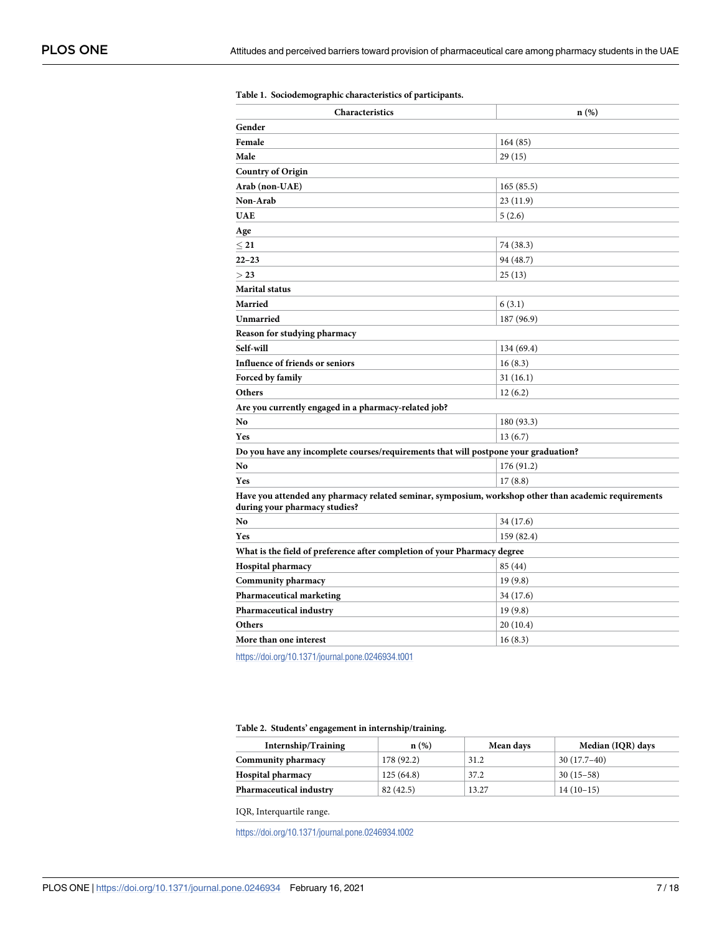| Characteristics                                                                                                                       | n(%)       |  |  |  |  |
|---------------------------------------------------------------------------------------------------------------------------------------|------------|--|--|--|--|
| Gender                                                                                                                                |            |  |  |  |  |
| Female                                                                                                                                | 164(85)    |  |  |  |  |
| Male                                                                                                                                  | 29(15)     |  |  |  |  |
| <b>Country of Origin</b>                                                                                                              |            |  |  |  |  |
| Arab (non-UAE)                                                                                                                        | 165(85.5)  |  |  |  |  |
| Non-Arab                                                                                                                              | 23 (11.9)  |  |  |  |  |
| <b>UAE</b>                                                                                                                            | 5(2.6)     |  |  |  |  |
| Age                                                                                                                                   |            |  |  |  |  |
| $<$ 21                                                                                                                                | 74 (38.3)  |  |  |  |  |
| $22 - 23$                                                                                                                             | 94 (48.7)  |  |  |  |  |
| >23                                                                                                                                   | 25(13)     |  |  |  |  |
| <b>Marital status</b>                                                                                                                 |            |  |  |  |  |
| Married                                                                                                                               | 6(3.1)     |  |  |  |  |
| Unmarried                                                                                                                             | 187 (96.9) |  |  |  |  |
| Reason for studying pharmacy                                                                                                          |            |  |  |  |  |
| Self-will                                                                                                                             | 134 (69.4) |  |  |  |  |
| Influence of friends or seniors                                                                                                       | 16(8.3)    |  |  |  |  |
| Forced by family                                                                                                                      | 31(16.1)   |  |  |  |  |
| Others                                                                                                                                | 12(6.2)    |  |  |  |  |
| Are you currently engaged in a pharmacy-related job?                                                                                  |            |  |  |  |  |
| No                                                                                                                                    | 180 (93.3) |  |  |  |  |
| Yes                                                                                                                                   | 13(6.7)    |  |  |  |  |
| Do you have any incomplete courses/requirements that will postpone your graduation?                                                   |            |  |  |  |  |
| No                                                                                                                                    | 176 (91.2) |  |  |  |  |
| Yes                                                                                                                                   | 17(8.8)    |  |  |  |  |
| Have you attended any pharmacy related seminar, symposium, workshop other than academic requirements<br>during your pharmacy studies? |            |  |  |  |  |
| N <sub>0</sub>                                                                                                                        | 34 (17.6)  |  |  |  |  |
| Yes                                                                                                                                   | 159 (82.4) |  |  |  |  |
| What is the field of preference after completion of your Pharmacy degree                                                              |            |  |  |  |  |
| Hospital pharmacy                                                                                                                     | 85 (44)    |  |  |  |  |
| <b>Community pharmacy</b>                                                                                                             | 19(9.8)    |  |  |  |  |
| Pharmaceutical marketing                                                                                                              | 34 (17.6)  |  |  |  |  |
| Pharmaceutical industry                                                                                                               | 19(9.8)    |  |  |  |  |
| Others                                                                                                                                | 20(10.4)   |  |  |  |  |
| More than one interest                                                                                                                | 16(8.3)    |  |  |  |  |
| https://doi.org/10.1371/journal.pone.0246934.t001                                                                                     |            |  |  |  |  |

#### <span id="page-6-0"></span>**[Table 1.](#page-5-0) Sociodemographic characteristics of participants.**

#### **[Table 2.](#page-5-0) Students' engagement in internship/training.**

| Internship/Training            | n(%)       | Mean days | Median (IQR) days |
|--------------------------------|------------|-----------|-------------------|
| Community pharmacy             | 178 (92.2) | 31.2      | $30(17.7-40)$     |
| <b>Hospital pharmacy</b>       | 125(64.8)  | 37.2      | $30(15-58)$       |
| <b>Pharmaceutical industry</b> | 82(42.5)   | 13.27     | $14(10-15)$       |

IQR, Interquartile range.

<https://doi.org/10.1371/journal.pone.0246934.t002>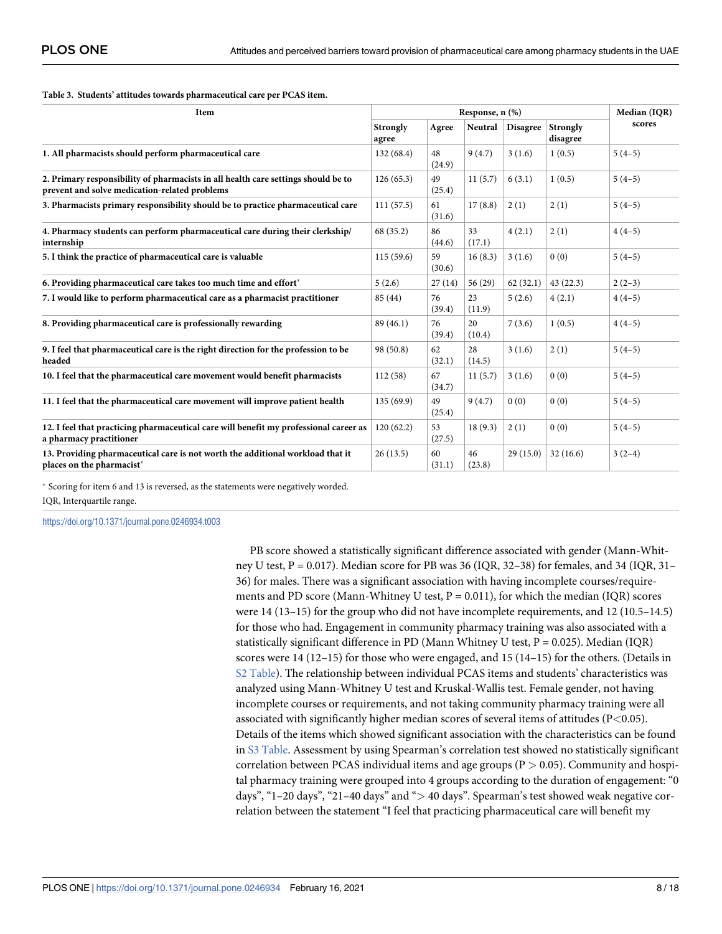#### <span id="page-7-0"></span>**[Table 3.](#page-5-0) Students' attitudes towards pharmaceutical care per PCAS item.**

| Item                                                                                                                               | Response, n (%)   |              |              |                 |                      | Median (IQR) |
|------------------------------------------------------------------------------------------------------------------------------------|-------------------|--------------|--------------|-----------------|----------------------|--------------|
|                                                                                                                                    | Strongly<br>agree | Agree        | Neutral      | <b>Disagree</b> | Strongly<br>disagree | scores       |
| 1. All pharmacists should perform pharmaceutical care                                                                              | 132(68.4)         | 48<br>(24.9) | 9(4.7)       | 3(1.6)          | 1(0.5)               | $5(4-5)$     |
| 2. Primary responsibility of pharmacists in all health care settings should be to<br>prevent and solve medication-related problems | 126(65.3)         | 49<br>(25.4) | 11(5.7)      | 6(3.1)          | 1(0.5)               | $5(4-5)$     |
| 3. Pharmacists primary responsibility should be to practice pharmaceutical care                                                    | 111(57.5)         | 61<br>(31.6) | 17(8.8)      | 2(1)            | 2(1)                 | $5(4-5)$     |
| 4. Pharmacy students can perform pharmaceutical care during their clerkship/<br>internship                                         | 68 (35.2)         | 86<br>(44.6) | 33<br>(17.1) | 4(2.1)          | 2(1)                 | $4(4-5)$     |
| 5. I think the practice of pharmaceutical care is valuable                                                                         | 115(59.6)         | 59<br>(30.6) | 16(8.3)      | 3(1.6)          | 0(0)                 | $5(4-5)$     |
| 6. Providing pharmaceutical care takes too much time and effort*                                                                   | 5(2.6)            | 27(14)       | 56(29)       | 62(32.1)        | 43(22.3)             | $2(2-3)$     |
| 7. I would like to perform pharmaceutical care as a pharmacist practitioner                                                        | 85 (44)           | 76<br>(39.4) | 23<br>(11.9) | 5(2.6)          | 4(2.1)               | $4(4-5)$     |
| 8. Providing pharmaceutical care is professionally rewarding                                                                       | 89(46.1)          | 76<br>(39.4) | 20<br>(10.4) | 7(3.6)          | 1(0.5)               | $4(4-5)$     |
| 9. I feel that pharmaceutical care is the right direction for the profession to be<br>headed                                       | 98 (50.8)         | 62<br>(32.1) | 28<br>(14.5) | 3(1.6)          | 2(1)                 | $5(4-5)$     |
| 10. I feel that the pharmaceutical care movement would benefit pharmacists                                                         | 112(58)           | 67<br>(34.7) | 11(5.7)      | 3(1.6)          | 0(0)                 | $5(4-5)$     |
| 11. I feel that the pharmaceutical care movement will improve patient health                                                       | 135(69.9)         | 49<br>(25.4) | 9(4.7)       | 0(0)            | 0(0)                 | $5(4-5)$     |
| 12. I feel that practicing pharmaceutical care will benefit my professional career as<br>a pharmacy practitioner                   | 120(62.2)         | 53<br>(27.5) | 18(9.3)      | 2(1)            | 0(0)                 | $5(4-5)$     |
| 13. Providing pharmaceutical care is not worth the additional workload that it<br>places on the pharmacist <sup>*</sup>            | 26(13.5)          | 60<br>(31.1) | 46<br>(23.8) | 29(15.0)        | 32(16.6)             | $3(2-4)$     |

� Scoring for item 6 and 13 is reversed, as the statements were negatively worded. IQR, Interquartile range.

<https://doi.org/10.1371/journal.pone.0246934.t003>

PB score showed a statistically significant difference associated with gender (Mann-Whitney U test,  $P = 0.017$ ). Median score for PB was 36 (IQR, 32–38) for females, and 34 (IQR, 31– 36) for males. There was a significant association with having incomplete courses/requirements and PD score (Mann-Whitney U test,  $P = 0.011$ ), for which the median (IQR) scores were 14 (13–15) for the group who did not have incomplete requirements, and 12 (10.5–14.5) for those who had. Engagement in community pharmacy training was also associated with a statistically significant difference in PD (Mann Whitney U test, P = 0.025). Median (IQR) scores were 14 (12–15) for those who were engaged, and 15 (14–15) for the others. (Details in [S2 Table\)](#page-14-0). The relationship between individual PCAS items and students' characteristics was analyzed using Mann-Whitney U test and Kruskal-Wallis test. Female gender, not having incomplete courses or requirements, and not taking community pharmacy training were all associated with significantly higher median scores of several items of attitudes (P*<*0.05). Details of the items which showed significant association with the characteristics can be found in [S3 Table](#page-14-0). Assessment by using Spearman's correlation test showed no statistically significant correlation between PCAS individual items and age groups (P *>* 0.05). Community and hospital pharmacy training were grouped into 4 groups according to the duration of engagement: "0 days", "1–20 days", "21–40 days" and "*>* 40 days". Spearman's test showed weak negative correlation between the statement "I feel that practicing pharmaceutical care will benefit my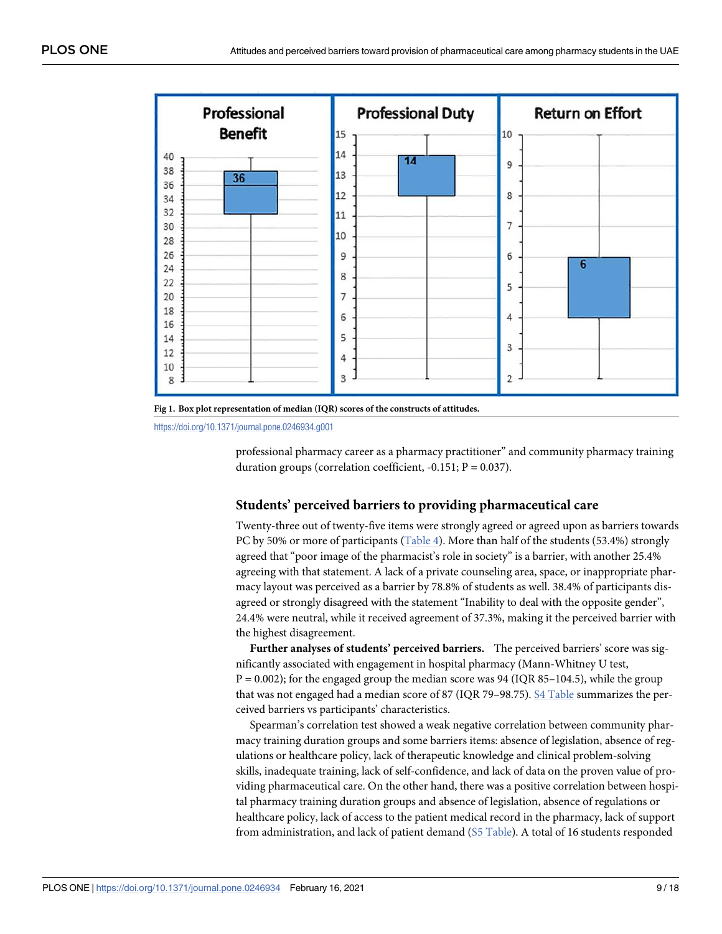<span id="page-8-0"></span>



<https://doi.org/10.1371/journal.pone.0246934.g001>

professional pharmacy career as a pharmacy practitioner" and community pharmacy training duration groups (correlation coefficient,  $-0.151$ ; P = 0.037).

## **Students' perceived barriers to providing pharmaceutical care**

Twenty-three out of twenty-five items were strongly agreed or agreed upon as barriers towards PC by 50% or more of participants [\(Table 4](#page-9-0)). More than half of the students (53.4%) strongly agreed that "poor image of the pharmacist's role in society" is a barrier, with another 25.4% agreeing with that statement. A lack of a private counseling area, space, or inappropriate pharmacy layout was perceived as a barrier by 78.8% of students as well. 38.4% of participants disagreed or strongly disagreed with the statement "Inability to deal with the opposite gender", 24.4% were neutral, while it received agreement of 37.3%, making it the perceived barrier with the highest disagreement.

**Further analyses of students' perceived barriers.** The perceived barriers' score was significantly associated with engagement in hospital pharmacy (Mann-Whitney U test,  $P = 0.002$ ); for the engaged group the median score was 94 (IQR 85–104.5), while the group that was not engaged had a median score of 87 (IQR 79–98.75). [S4 Table](#page-14-0) summarizes the perceived barriers vs participants' characteristics.

Spearman's correlation test showed a weak negative correlation between community pharmacy training duration groups and some barriers items: absence of legislation, absence of regulations or healthcare policy, lack of therapeutic knowledge and clinical problem-solving skills, inadequate training, lack of self-confidence, and lack of data on the proven value of providing pharmaceutical care. On the other hand, there was a positive correlation between hospital pharmacy training duration groups and absence of legislation, absence of regulations or healthcare policy, lack of access to the patient medical record in the pharmacy, lack of support from administration, and lack of patient demand [\(S5 Table](#page-14-0)). A total of 16 students responded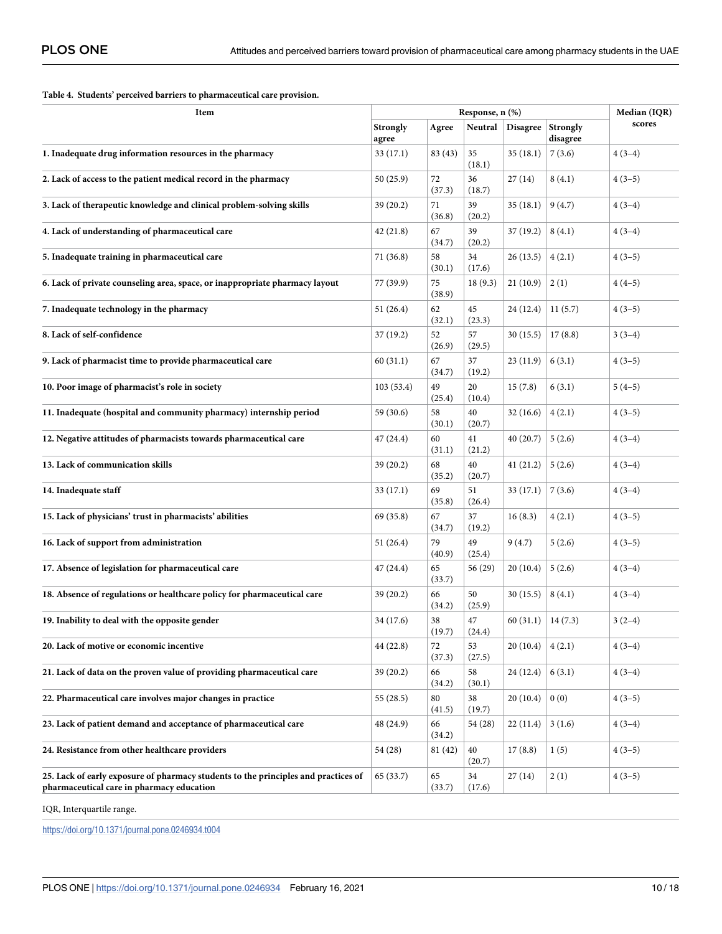#### <span id="page-9-0"></span>**[Table 4.](#page-8-0) Students' perceived barriers to pharmaceutical care provision.**

| Item                                                                                                                            | Response, n (%)   |              |              |                 |                      | Median (IQR) |
|---------------------------------------------------------------------------------------------------------------------------------|-------------------|--------------|--------------|-----------------|----------------------|--------------|
|                                                                                                                                 | Strongly<br>agree | Agree        | Neutral      | <b>Disagree</b> | Strongly<br>disagree | scores       |
| 1. Inadequate drug information resources in the pharmacy                                                                        | 33 (17.1)         | 83 (43)      | 35<br>(18.1) | 35(18.1)        | 7(3.6)               | $4(3-4)$     |
| 2. Lack of access to the patient medical record in the pharmacy                                                                 | 50 (25.9)         | 72<br>(37.3) | 36<br>(18.7) | 27(14)          | 8(4.1)               | $4(3-5)$     |
| 3. Lack of therapeutic knowledge and clinical problem-solving skills                                                            | 39(20.2)          | 71<br>(36.8) | 39<br>(20.2) | 35(18.1)        | 9(4.7)               | $4(3-4)$     |
| 4. Lack of understanding of pharmaceutical care                                                                                 | 42(21.8)          | 67<br>(34.7) | 39<br>(20.2) | 37(19.2)        | 8(4.1)               | $4(3-4)$     |
| 5. Inadequate training in pharmaceutical care                                                                                   | 71 (36.8)         | 58<br>(30.1) | 34<br>(17.6) | 26(13.5)        | 4(2.1)               | $4(3-5)$     |
| 6. Lack of private counseling area, space, or inappropriate pharmacy layout                                                     | 77 (39.9)         | 75<br>(38.9) | 18 (9.3)     | 21(10.9)        | 2(1)                 | $4(4-5)$     |
| 7. Inadequate technology in the pharmacy                                                                                        | 51(26.4)          | 62<br>(32.1) | 45<br>(23.3) | 24 (12.4)       | 11(5.7)              | $4(3-5)$     |
| 8. Lack of self-confidence                                                                                                      | 37(19.2)          | 52<br>(26.9) | 57<br>(29.5) | 30(15.5)        | 17(8.8)              | $3(3-4)$     |
| 9. Lack of pharmacist time to provide pharmaceutical care                                                                       | 60(31.1)          | 67<br>(34.7) | 37<br>(19.2) | 23(11.9)        | 6(3.1)               | $4(3-5)$     |
| 10. Poor image of pharmacist's role in society                                                                                  | 103(53.4)         | 49<br>(25.4) | 20<br>(10.4) | 15(7.8)         | 6(3.1)               | $5(4-5)$     |
| 11. Inadequate (hospital and community pharmacy) internship period                                                              | 59 (30.6)         | 58<br>(30.1) | 40<br>(20.7) | 32(16.6)        | 4(2.1)               | $4(3-5)$     |
| 12. Negative attitudes of pharmacists towards pharmaceutical care                                                               | 47 (24.4)         | 60<br>(31.1) | 41<br>(21.2) | 40(20.7)        | 5(2.6)               | $4(3-4)$     |
| 13. Lack of communication skills                                                                                                | 39(20.2)          | 68<br>(35.2) | 40<br>(20.7) | 41(21.2)        | 5(2.6)               | $4(3-4)$     |
| 14. Inadequate staff                                                                                                            | 33 (17.1)         | 69<br>(35.8) | 51<br>(26.4) | 33(17.1)        | 7(3.6)               | $4(3-4)$     |
| 15. Lack of physicians' trust in pharmacists' abilities                                                                         | 69 (35.8)         | 67<br>(34.7) | 37<br>(19.2) | 16(8.3)         | 4(2.1)               | $4(3-5)$     |
| 16. Lack of support from administration                                                                                         | 51 (26.4)         | 79<br>(40.9) | 49<br>(25.4) | 9(4.7)          | 5(2.6)               | $4(3-5)$     |
| 17. Absence of legislation for pharmaceutical care                                                                              | 47(24.4)          | 65<br>(33.7) | 56 (29)      | 20(10.4)        | 5(2.6)               | $4(3-4)$     |
| 18. Absence of regulations or healthcare policy for pharmaceutical care                                                         | 39(20.2)          | 66<br>(34.2) | 50<br>(25.9) | 30(15.5)        | 8(4.1)               | $4(3-4)$     |
| 19. Inability to deal with the opposite gender                                                                                  | 34 (17.6)         | 38<br>(19.7) | 47<br>(24.4) | 60(31.1)        | 14(7.3)              | $3(2-4)$     |
| 20. Lack of motive or economic incentive                                                                                        | 44 (22.8)         | 72<br>(37.3) | 53<br>(27.5) | 20(10.4)        | 4(2.1)               | $4(3-4)$     |
| 21. Lack of data on the proven value of providing pharmaceutical care                                                           | 39(20.2)          | 66<br>(34.2) | 58<br>(30.1) | 24 (12.4)       | 6(3.1)               | $4(3-4)$     |
| 22. Pharmaceutical care involves major changes in practice                                                                      | 55(28.5)          | 80<br>(41.5) | 38<br>(19.7) | 20(10.4)        | 0(0)                 | $4(3-5)$     |
| 23. Lack of patient demand and acceptance of pharmaceutical care                                                                | 48 (24.9)         | 66<br>(34.2) | 54 (28)      | 22(11.4)        | 3(1.6)               | $4(3-4)$     |
| 24. Resistance from other healthcare providers                                                                                  | 54 (28)           | 81 (42)      | 40<br>(20.7) | 17(8.8)         | 1(5)                 | $4(3-5)$     |
| 25. Lack of early exposure of pharmacy students to the principles and practices of<br>pharmaceutical care in pharmacy education | 65 (33.7)         | 65<br>(33.7) | 34<br>(17.6) | 27(14)          | 2(1)                 | $4(3-5)$     |

IQR, Interquartile range.

<https://doi.org/10.1371/journal.pone.0246934.t004>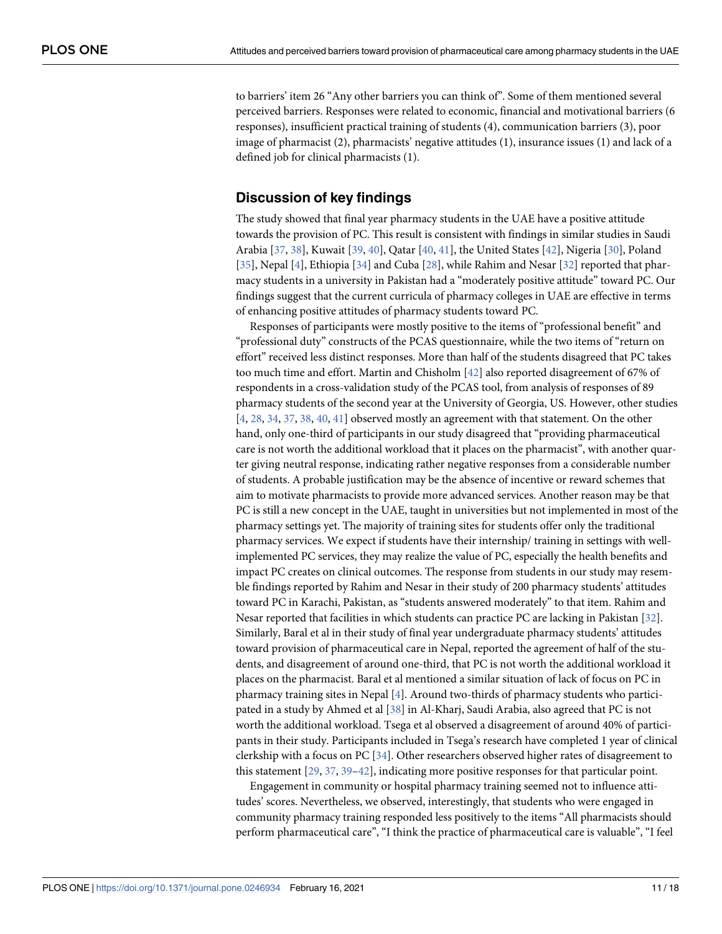<span id="page-10-0"></span>to barriers' item 26 "Any other barriers you can think of". Some of them mentioned several perceived barriers. Responses were related to economic, financial and motivational barriers (6 responses), insufficient practical training of students (4), communication barriers (3), poor image of pharmacist (2), pharmacists' negative attitudes (1), insurance issues (1) and lack of a defined job for clinical pharmacists (1).

# **Discussion of key findings**

The study showed that final year pharmacy students in the UAE have a positive attitude towards the provision of PC. This result is consistent with findings in similar studies in Saudi Arabia [[37](#page-16-0), [38](#page-16-0)], Kuwait [\[39,](#page-16-0) [40\]](#page-16-0), Qatar [\[40,](#page-16-0) [41\]](#page-16-0), the United States [[42](#page-16-0)], Nigeria [[30\]](#page-16-0), Poland [\[35\]](#page-16-0), Nepal [[4\]](#page-15-0), Ethiopia [\[34\]](#page-16-0) and Cuba [\[28\]](#page-16-0), while Rahim and Nesar [\[32\]](#page-16-0) reported that pharmacy students in a university in Pakistan had a "moderately positive attitude" toward PC. Our findings suggest that the current curricula of pharmacy colleges in UAE are effective in terms of enhancing positive attitudes of pharmacy students toward PC.

Responses of participants were mostly positive to the items of "professional benefit" and "professional duty" constructs of the PCAS questionnaire, while the two items of "return on effort" received less distinct responses. More than half of the students disagreed that PC takes too much time and effort. Martin and Chisholm [[42](#page-16-0)] also reported disagreement of 67% of respondents in a cross-validation study of the PCAS tool, from analysis of responses of 89 pharmacy students of the second year at the University of Georgia, US. However, other studies  $[4, 28, 34, 37, 38, 40, 41]$  $[4, 28, 34, 37, 38, 40, 41]$  $[4, 28, 34, 37, 38, 40, 41]$  $[4, 28, 34, 37, 38, 40, 41]$  $[4, 28, 34, 37, 38, 40, 41]$  $[4, 28, 34, 37, 38, 40, 41]$  $[4, 28, 34, 37, 38, 40, 41]$  $[4, 28, 34, 37, 38, 40, 41]$  $[4, 28, 34, 37, 38, 40, 41]$  $[4, 28, 34, 37, 38, 40, 41]$  $[4, 28, 34, 37, 38, 40, 41]$  $[4, 28, 34, 37, 38, 40, 41]$  $[4, 28, 34, 37, 38, 40, 41]$  observed mostly an agreement with that statement. On the other hand, only one-third of participants in our study disagreed that "providing pharmaceutical care is not worth the additional workload that it places on the pharmacist", with another quarter giving neutral response, indicating rather negative responses from a considerable number of students. A probable justification may be the absence of incentive or reward schemes that aim to motivate pharmacists to provide more advanced services. Another reason may be that PC is still a new concept in the UAE, taught in universities but not implemented in most of the pharmacy settings yet. The majority of training sites for students offer only the traditional pharmacy services. We expect if students have their internship/ training in settings with wellimplemented PC services, they may realize the value of PC, especially the health benefits and impact PC creates on clinical outcomes. The response from students in our study may resemble findings reported by Rahim and Nesar in their study of 200 pharmacy students' attitudes toward PC in Karachi, Pakistan, as "students answered moderately" to that item. Rahim and Nesar reported that facilities in which students can practice PC are lacking in Pakistan [\[32\]](#page-16-0). Similarly, Baral et al in their study of final year undergraduate pharmacy students' attitudes toward provision of pharmaceutical care in Nepal, reported the agreement of half of the students, and disagreement of around one-third, that PC is not worth the additional workload it places on the pharmacist. Baral et al mentioned a similar situation of lack of focus on PC in pharmacy training sites in Nepal  $[4]$ . Around two-thirds of pharmacy students who participated in a study by Ahmed et al [[38](#page-16-0)] in Al-Kharj, Saudi Arabia, also agreed that PC is not worth the additional workload. Tsega et al observed a disagreement of around 40% of participants in their study. Participants included in Tsega's research have completed 1 year of clinical clerkship with a focus on PC [[34](#page-16-0)]. Other researchers observed higher rates of disagreement to this statement [\[29,](#page-16-0) [37,](#page-16-0) [39–42\]](#page-16-0), indicating more positive responses for that particular point.

Engagement in community or hospital pharmacy training seemed not to influence attitudes' scores. Nevertheless, we observed, interestingly, that students who were engaged in community pharmacy training responded less positively to the items "All pharmacists should perform pharmaceutical care", "I think the practice of pharmaceutical care is valuable", "I feel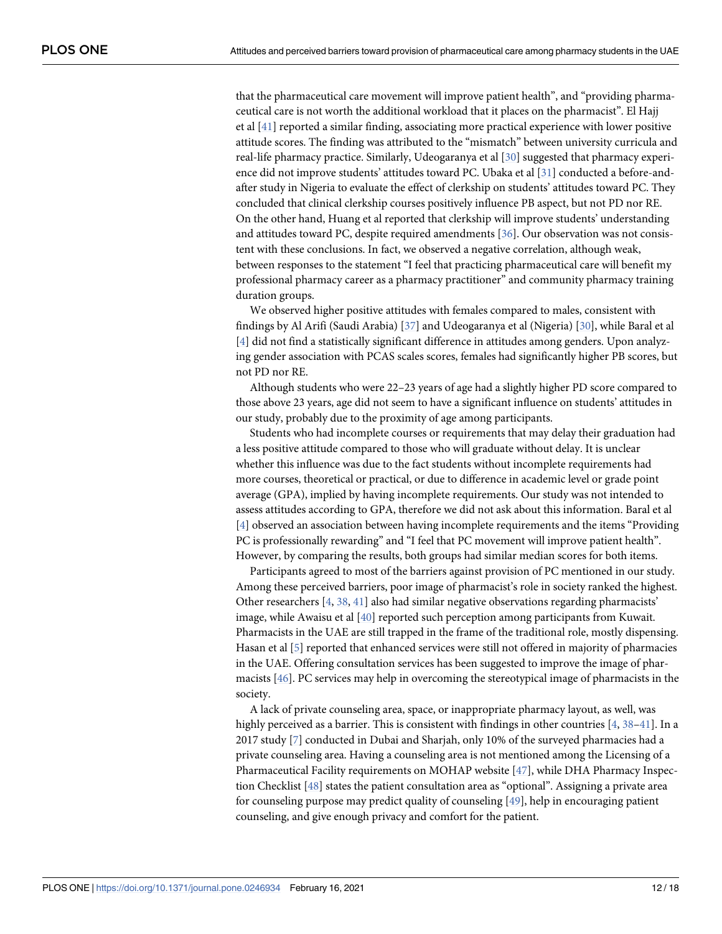<span id="page-11-0"></span>that the pharmaceutical care movement will improve patient health", and "providing pharmaceutical care is not worth the additional workload that it places on the pharmacist". El Hajj et al  $[41]$  $[41]$  $[41]$  reported a similar finding, associating more practical experience with lower positive attitude scores. The finding was attributed to the "mismatch" between university curricula and real-life pharmacy practice. Similarly, Udeogaranya et al [\[30\]](#page-16-0) suggested that pharmacy experience did not improve students' attitudes toward PC. Ubaka et al [[31](#page-16-0)] conducted a before-andafter study in Nigeria to evaluate the effect of clerkship on students' attitudes toward PC. They concluded that clinical clerkship courses positively influence PB aspect, but not PD nor RE. On the other hand, Huang et al reported that clerkship will improve students' understanding and attitudes toward PC, despite required amendments [\[36\]](#page-16-0). Our observation was not consistent with these conclusions. In fact, we observed a negative correlation, although weak, between responses to the statement "I feel that practicing pharmaceutical care will benefit my professional pharmacy career as a pharmacy practitioner" and community pharmacy training duration groups.

We observed higher positive attitudes with females compared to males, consistent with findings by Al Arifi (Saudi Arabia) [\[37\]](#page-16-0) and Udeogaranya et al (Nigeria) [[30](#page-16-0)], while Baral et al [\[4](#page-15-0)] did not find a statistically significant difference in attitudes among genders. Upon analyzing gender association with PCAS scales scores, females had significantly higher PB scores, but not PD nor RE.

Although students who were 22–23 years of age had a slightly higher PD score compared to those above 23 years, age did not seem to have a significant influence on students' attitudes in our study, probably due to the proximity of age among participants.

Students who had incomplete courses or requirements that may delay their graduation had a less positive attitude compared to those who will graduate without delay. It is unclear whether this influence was due to the fact students without incomplete requirements had more courses, theoretical or practical, or due to difference in academic level or grade point average (GPA), implied by having incomplete requirements. Our study was not intended to assess attitudes according to GPA, therefore we did not ask about this information. Baral et al [\[4](#page-15-0)] observed an association between having incomplete requirements and the items "Providing PC is professionally rewarding" and "I feel that PC movement will improve patient health". However, by comparing the results, both groups had similar median scores for both items.

Participants agreed to most of the barriers against provision of PC mentioned in our study. Among these perceived barriers, poor image of pharmacist's role in society ranked the highest. Other researchers [\[4](#page-15-0), [38](#page-16-0), [41](#page-16-0)] also had similar negative observations regarding pharmacists' image, while Awaisu et al [[40](#page-16-0)] reported such perception among participants from Kuwait. Pharmacists in the UAE are still trapped in the frame of the traditional role, mostly dispensing. Hasan et al [\[5](#page-15-0)] reported that enhanced services were still not offered in majority of pharmacies in the UAE. Offering consultation services has been suggested to improve the image of pharmacists [\[46\]](#page-17-0). PC services may help in overcoming the stereotypical image of pharmacists in the society.

A lack of private counseling area, space, or inappropriate pharmacy layout, as well, was highly perceived as a barrier. This is consistent with findings in other countries  $[4, 38-41]$  $[4, 38-41]$  $[4, 38-41]$  $[4, 38-41]$  $[4, 38-41]$  $[4, 38-41]$  $[4, 38-41]$ . In a 2017 study [[7](#page-15-0)] conducted in Dubai and Sharjah, only 10% of the surveyed pharmacies had a private counseling area. Having a counseling area is not mentioned among the Licensing of a Pharmaceutical Facility requirements on MOHAP website [[47](#page-17-0)], while DHA Pharmacy Inspection Checklist [\[48\]](#page-17-0) states the patient consultation area as "optional". Assigning a private area for counseling purpose may predict quality of counseling [[49](#page-17-0)], help in encouraging patient counseling, and give enough privacy and comfort for the patient.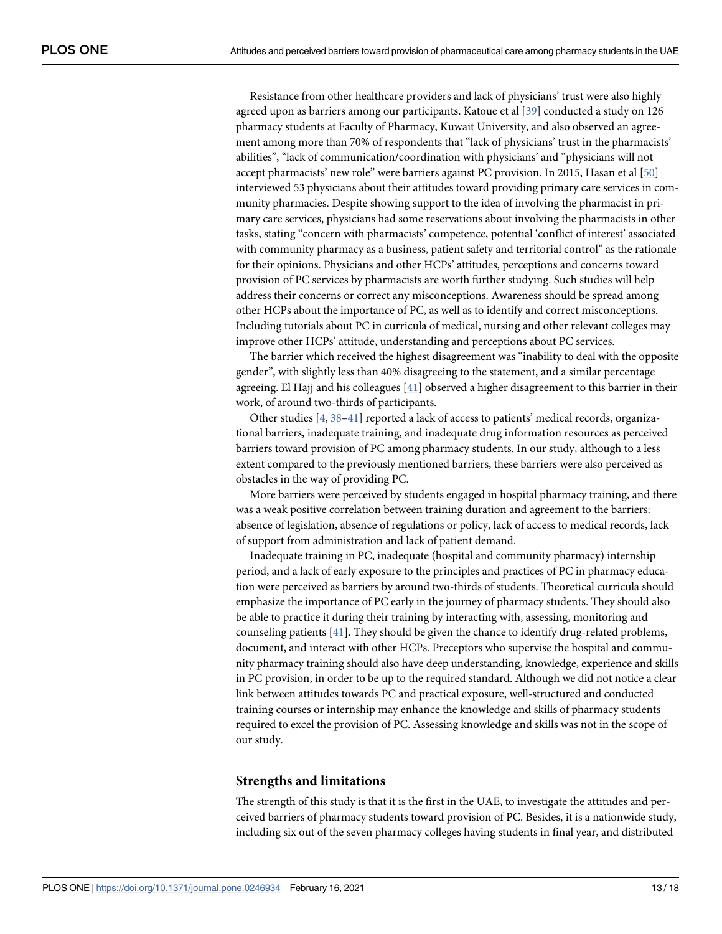<span id="page-12-0"></span>Resistance from other healthcare providers and lack of physicians' trust were also highly agreed upon as barriers among our participants. Katoue et al [[39](#page-16-0)] conducted a study on 126 pharmacy students at Faculty of Pharmacy, Kuwait University, and also observed an agreement among more than 70% of respondents that "lack of physicians' trust in the pharmacists' abilities", "lack of communication/coordination with physicians' and "physicians will not accept pharmacists' new role" were barriers against PC provision. In 2015, Hasan et al [[50](#page-17-0)] interviewed 53 physicians about their attitudes toward providing primary care services in community pharmacies. Despite showing support to the idea of involving the pharmacist in primary care services, physicians had some reservations about involving the pharmacists in other tasks, stating "concern with pharmacists' competence, potential 'conflict of interest' associated with community pharmacy as a business, patient safety and territorial control" as the rationale for their opinions. Physicians and other HCPs' attitudes, perceptions and concerns toward provision of PC services by pharmacists are worth further studying. Such studies will help address their concerns or correct any misconceptions. Awareness should be spread among other HCPs about the importance of PC, as well as to identify and correct misconceptions. Including tutorials about PC in curricula of medical, nursing and other relevant colleges may improve other HCPs' attitude, understanding and perceptions about PC services.

The barrier which received the highest disagreement was "inability to deal with the opposite gender", with slightly less than 40% disagreeing to the statement, and a similar percentage agreeing. El Hajj and his colleagues [\[41\]](#page-16-0) observed a higher disagreement to this barrier in their work, of around two-thirds of participants.

Other studies [\[4,](#page-15-0) [38–41\]](#page-16-0) reported a lack of access to patients' medical records, organizational barriers, inadequate training, and inadequate drug information resources as perceived barriers toward provision of PC among pharmacy students. In our study, although to a less extent compared to the previously mentioned barriers, these barriers were also perceived as obstacles in the way of providing PC.

More barriers were perceived by students engaged in hospital pharmacy training, and there was a weak positive correlation between training duration and agreement to the barriers: absence of legislation, absence of regulations or policy, lack of access to medical records, lack of support from administration and lack of patient demand.

Inadequate training in PC, inadequate (hospital and community pharmacy) internship period, and a lack of early exposure to the principles and practices of PC in pharmacy education were perceived as barriers by around two-thirds of students. Theoretical curricula should emphasize the importance of PC early in the journey of pharmacy students. They should also be able to practice it during their training by interacting with, assessing, monitoring and counseling patients  $[41]$ . They should be given the chance to identify drug-related problems, document, and interact with other HCPs. Preceptors who supervise the hospital and community pharmacy training should also have deep understanding, knowledge, experience and skills in PC provision, in order to be up to the required standard. Although we did not notice a clear link between attitudes towards PC and practical exposure, well-structured and conducted training courses or internship may enhance the knowledge and skills of pharmacy students required to excel the provision of PC. Assessing knowledge and skills was not in the scope of our study.

### **Strengths and limitations**

The strength of this study is that it is the first in the UAE, to investigate the attitudes and perceived barriers of pharmacy students toward provision of PC. Besides, it is a nationwide study, including six out of the seven pharmacy colleges having students in final year, and distributed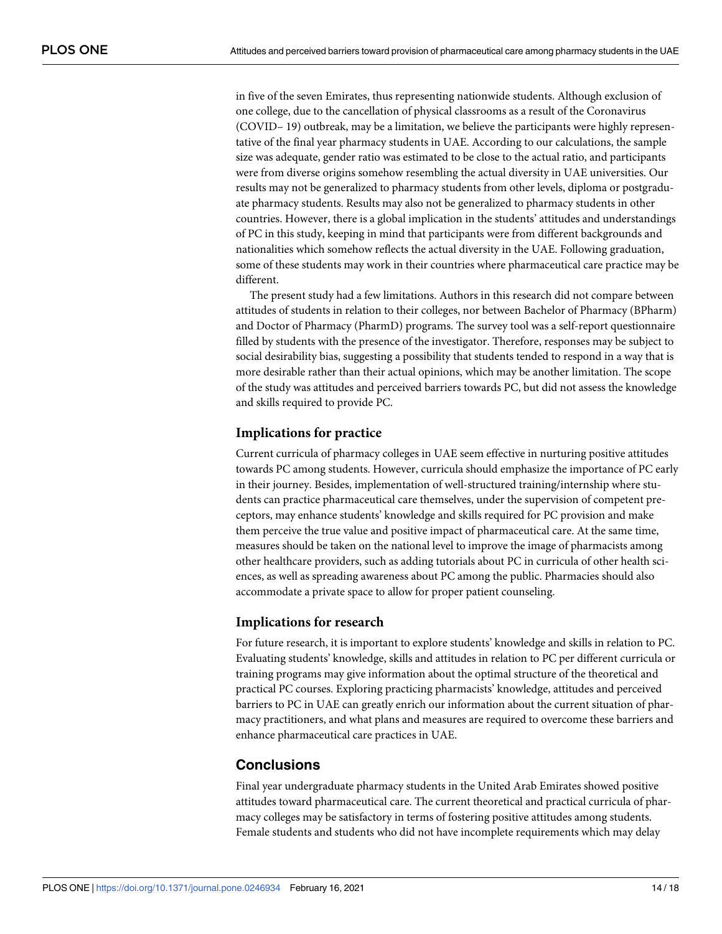in five of the seven Emirates, thus representing nationwide students. Although exclusion of one college, due to the cancellation of physical classrooms as a result of the Coronavirus (COVID– 19) outbreak, may be a limitation, we believe the participants were highly representative of the final year pharmacy students in UAE. According to our calculations, the sample size was adequate, gender ratio was estimated to be close to the actual ratio, and participants were from diverse origins somehow resembling the actual diversity in UAE universities. Our results may not be generalized to pharmacy students from other levels, diploma or postgraduate pharmacy students. Results may also not be generalized to pharmacy students in other countries. However, there is a global implication in the students' attitudes and understandings of PC in this study, keeping in mind that participants were from different backgrounds and nationalities which somehow reflects the actual diversity in the UAE. Following graduation, some of these students may work in their countries where pharmaceutical care practice may be different.

The present study had a few limitations. Authors in this research did not compare between attitudes of students in relation to their colleges, nor between Bachelor of Pharmacy (BPharm) and Doctor of Pharmacy (PharmD) programs. The survey tool was a self-report questionnaire filled by students with the presence of the investigator. Therefore, responses may be subject to social desirability bias, suggesting a possibility that students tended to respond in a way that is more desirable rather than their actual opinions, which may be another limitation. The scope of the study was attitudes and perceived barriers towards PC, but did not assess the knowledge and skills required to provide PC.

## **Implications for practice**

Current curricula of pharmacy colleges in UAE seem effective in nurturing positive attitudes towards PC among students. However, curricula should emphasize the importance of PC early in their journey. Besides, implementation of well-structured training/internship where students can practice pharmaceutical care themselves, under the supervision of competent preceptors, may enhance students' knowledge and skills required for PC provision and make them perceive the true value and positive impact of pharmaceutical care. At the same time, measures should be taken on the national level to improve the image of pharmacists among other healthcare providers, such as adding tutorials about PC in curricula of other health sciences, as well as spreading awareness about PC among the public. Pharmacies should also accommodate a private space to allow for proper patient counseling.

## **Implications for research**

For future research, it is important to explore students' knowledge and skills in relation to PC. Evaluating students' knowledge, skills and attitudes in relation to PC per different curricula or training programs may give information about the optimal structure of the theoretical and practical PC courses. Exploring practicing pharmacists' knowledge, attitudes and perceived barriers to PC in UAE can greatly enrich our information about the current situation of pharmacy practitioners, and what plans and measures are required to overcome these barriers and enhance pharmaceutical care practices in UAE.

# **Conclusions**

Final year undergraduate pharmacy students in the United Arab Emirates showed positive attitudes toward pharmaceutical care. The current theoretical and practical curricula of pharmacy colleges may be satisfactory in terms of fostering positive attitudes among students. Female students and students who did not have incomplete requirements which may delay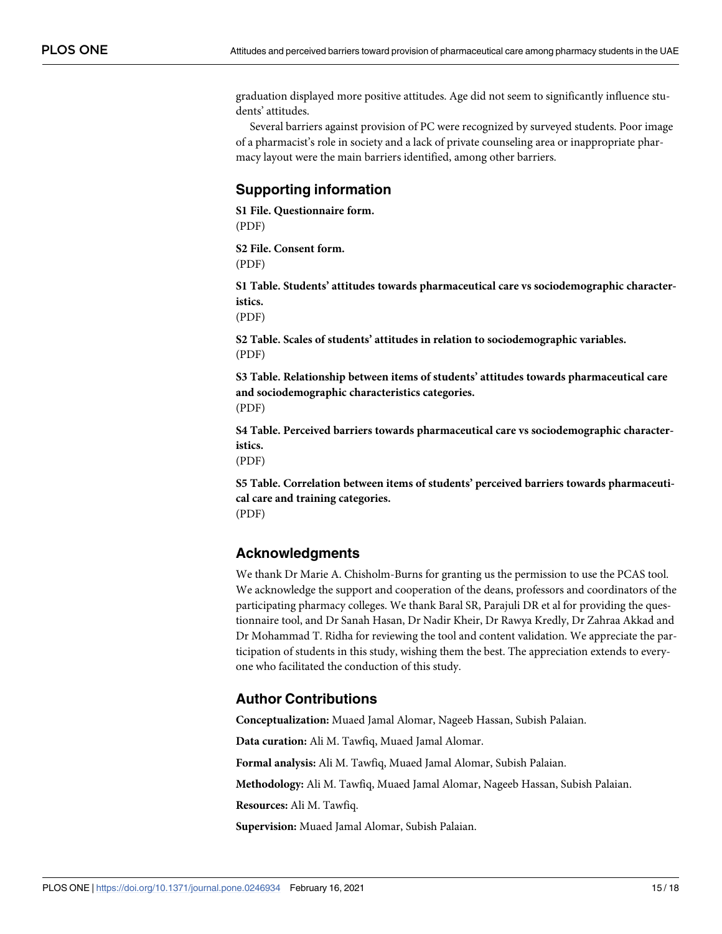<span id="page-14-0"></span>graduation displayed more positive attitudes. Age did not seem to significantly influence students' attitudes.

Several barriers against provision of PC were recognized by surveyed students. Poor image of a pharmacist's role in society and a lack of private counseling area or inappropriate pharmacy layout were the main barriers identified, among other barriers.

# **Supporting information**

**[S1 File.](http://www.plosone.org/article/fetchSingleRepresentation.action?uri=info:doi/10.1371/journal.pone.0246934.s001) Questionnaire form.**

(PDF)

**[S2 File.](http://www.plosone.org/article/fetchSingleRepresentation.action?uri=info:doi/10.1371/journal.pone.0246934.s002) Consent form.**

(PDF)

**[S1 Table.](http://www.plosone.org/article/fetchSingleRepresentation.action?uri=info:doi/10.1371/journal.pone.0246934.s003) Students' attitudes towards pharmaceutical care vs sociodemographic characteristics.**

(PDF)

**[S2 Table.](http://www.plosone.org/article/fetchSingleRepresentation.action?uri=info:doi/10.1371/journal.pone.0246934.s004) Scales of students' attitudes in relation to sociodemographic variables.** (PDF)

**[S3 Table.](http://www.plosone.org/article/fetchSingleRepresentation.action?uri=info:doi/10.1371/journal.pone.0246934.s005) Relationship between items of students' attitudes towards pharmaceutical care and sociodemographic characteristics categories.** (PDF)

**[S4 Table.](http://www.plosone.org/article/fetchSingleRepresentation.action?uri=info:doi/10.1371/journal.pone.0246934.s006) Perceived barriers towards pharmaceutical care vs sociodemographic characteristics.**

(PDF)

**[S5 Table.](http://www.plosone.org/article/fetchSingleRepresentation.action?uri=info:doi/10.1371/journal.pone.0246934.s007) Correlation between items of students' perceived barriers towards pharmaceutical care and training categories.** (PDF)

# **Acknowledgments**

We thank Dr Marie A. Chisholm-Burns for granting us the permission to use the PCAS tool. We acknowledge the support and cooperation of the deans, professors and coordinators of the participating pharmacy colleges. We thank Baral SR, Parajuli DR et al for providing the questionnaire tool, and Dr Sanah Hasan, Dr Nadir Kheir, Dr Rawya Kredly, Dr Zahraa Akkad and Dr Mohammad T. Ridha for reviewing the tool and content validation. We appreciate the participation of students in this study, wishing them the best. The appreciation extends to everyone who facilitated the conduction of this study.

# **Author Contributions**

**Conceptualization:** Muaed Jamal Alomar, Nageeb Hassan, Subish Palaian.

**Data curation:** Ali M. Tawfiq, Muaed Jamal Alomar.

**Formal analysis:** Ali M. Tawfiq, Muaed Jamal Alomar, Subish Palaian.

**Methodology:** Ali M. Tawfiq, Muaed Jamal Alomar, Nageeb Hassan, Subish Palaian.

**Resources:** Ali M. Tawfiq.

**Supervision:** Muaed Jamal Alomar, Subish Palaian.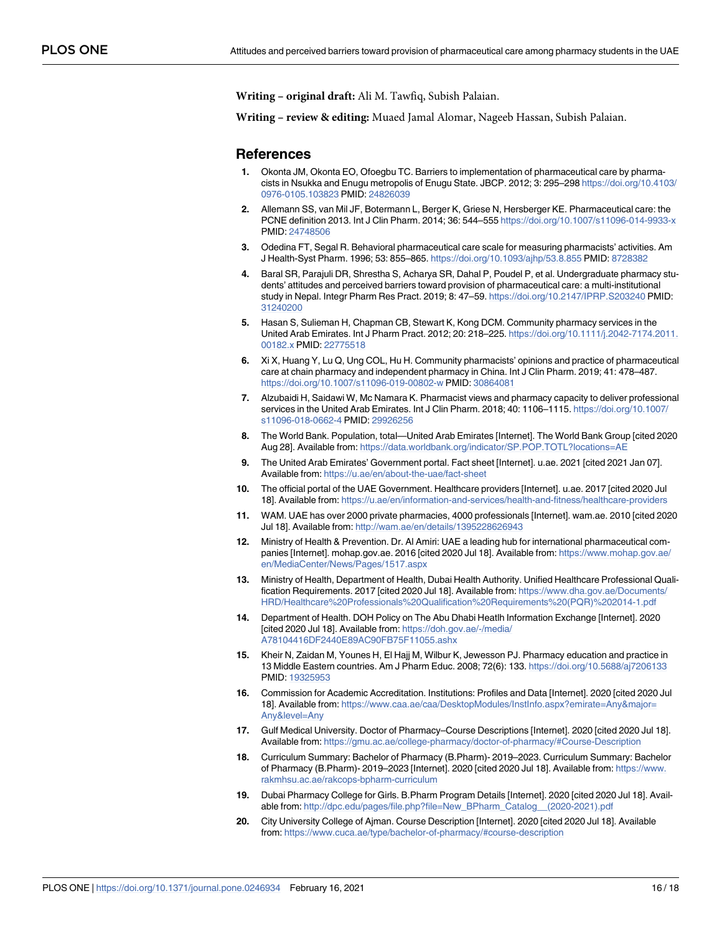<span id="page-15-0"></span>**Writing – original draft:** Ali M. Tawfiq, Subish Palaian.

**Writing – review & editing:** Muaed Jamal Alomar, Nageeb Hassan, Subish Palaian.

#### **References**

- **[1](#page-1-0).** Okonta JM, Okonta EO, Ofoegbu TC. Barriers to implementation of pharmaceutical care by pharmacists in Nsukka and Enugu metropolis of Enugu State. JBCP. 2012; 3: 295–298 [https://doi.org/10.4103/](https://doi.org/10.4103/0976-0105.103823) [0976-0105.103823](https://doi.org/10.4103/0976-0105.103823) PMID: [24826039](http://www.ncbi.nlm.nih.gov/pubmed/24826039)
- **[2](#page-1-0).** Allemann SS, van Mil JF, Botermann L, Berger K, Griese N, Hersberger KE. Pharmaceutical care: the PCNE definition 2013. Int J Clin Pharm. 2014; 36: 544–555 <https://doi.org/10.1007/s11096-014-9933-x> PMID: [24748506](http://www.ncbi.nlm.nih.gov/pubmed/24748506)
- **[3](#page-1-0).** Odedina FT, Segal R. Behavioral pharmaceutical care scale for measuring pharmacists' activities. Am J Health-Syst Pharm. 1996; 53: 855–865. <https://doi.org/10.1093/ajhp/53.8.855> PMID: [8728382](http://www.ncbi.nlm.nih.gov/pubmed/8728382)
- **[4](#page-1-0).** Baral SR, Parajuli DR, Shrestha S, Acharya SR, Dahal P, Poudel P, et al. Undergraduate pharmacy students' attitudes and perceived barriers toward provision of pharmaceutical care: a multi-institutional study in Nepal. Integr Pharm Res Pract. 2019; 8: 47–59. <https://doi.org/10.2147/IPRP.S203240> PMID: [31240200](http://www.ncbi.nlm.nih.gov/pubmed/31240200)
- **[5](#page-1-0).** Hasan S, Sulieman H, Chapman CB, Stewart K, Kong DCM. Community pharmacy services in the United Arab Emirates. Int J Pharm Pract. 2012; 20: 218–225. [https://doi.org/10.1111/j.2042-7174.2011.](https://doi.org/10.1111/j.2042-7174.2011.00182.x) [00182.x](https://doi.org/10.1111/j.2042-7174.2011.00182.x) PMID: [22775518](http://www.ncbi.nlm.nih.gov/pubmed/22775518)
- **[6](#page-1-0).** Xi X, Huang Y, Lu Q, Ung COL, Hu H. Community pharmacists' opinions and practice of pharmaceutical care at chain pharmacy and independent pharmacy in China. Int J Clin Pharm. 2019; 41: 478–487. <https://doi.org/10.1007/s11096-019-00802-w> PMID: [30864081](http://www.ncbi.nlm.nih.gov/pubmed/30864081)
- **[7](#page-1-0).** Alzubaidi H, Saidawi W, Mc Namara K. Pharmacist views and pharmacy capacity to deliver professional services in the United Arab Emirates. Int J Clin Pharm. 2018; 40: 1106–1115. [https://doi.org/10.1007/](https://doi.org/10.1007/s11096-018-0662-4) [s11096-018-0662-4](https://doi.org/10.1007/s11096-018-0662-4) PMID: [29926256](http://www.ncbi.nlm.nih.gov/pubmed/29926256)
- **[8](#page-1-0).** The World Bank. Population, total—United Arab Emirates [Internet]. The World Bank Group [cited 2020 Aug 28]. Available from: <https://data.worldbank.org/indicator/SP.POP.TOTL?locations=AE>
- **[9](#page-1-0).** The United Arab Emirates' Government portal. Fact sheet [Internet]. u.ae. 2021 [cited 2021 Jan 07]. Available from: <https://u.ae/en/about-the-uae/fact-sheet>
- **[10](#page-1-0).** The official portal of the UAE Government. Healthcare providers [Internet]. u.ae. 2017 [cited 2020 Jul 18]. Available from: <https://u.ae/en/information-and-services/health-and-fitness/healthcare-providers>
- **[11](#page-1-0).** WAM. UAE has over 2000 private pharmacies, 4000 professionals [Internet]. wam.ae. 2010 [cited 2020 Jul 18]. Available from: <http://wam.ae/en/details/1395228626943>
- **[12](#page-1-0).** Ministry of Health & Prevention. Dr. Al Amiri: UAE a leading hub for international pharmaceutical companies [Internet]. mohap.gov.ae. 2016 [cited 2020 Jul 18]. Available from: [https://www.mohap.gov.ae/](https://www.mohap.gov.ae/en/MediaCenter/News/Pages/1517.aspx) [en/MediaCenter/News/Pages/1517.aspx](https://www.mohap.gov.ae/en/MediaCenter/News/Pages/1517.aspx)
- **[13](#page-1-0).** Ministry of Health, Department of Health, Dubai Health Authority. Unified Healthcare Professional Qualification Requirements. 2017 [cited 2020 Jul 18]. Available from: [https://www.dha.gov.ae/Documents/](https://www.dha.gov.ae/Documents/HRD/Healthcare%20Professionals%20Qualification%20Requirements%20(PQR)%202014-1.pdf) [HRD/Healthcare%20Professionals%20Qualification%20Requirements%20\(PQR\)%202014-1.pdf](https://www.dha.gov.ae/Documents/HRD/Healthcare%20Professionals%20Qualification%20Requirements%20(PQR)%202014-1.pdf)
- **[14](#page-1-0).** Department of Health. DOH Policy on The Abu Dhabi Heatlh Information Exchange [Internet]. 2020 [cited 2020 Jul 18]. Available from: [https://doh.gov.ae/-/media/](https://doh.gov.ae/-/media/A78104416DF2440E89AC90FB75F11055.ashx) [A78104416DF2440E89AC90FB75F11055.ashx](https://doh.gov.ae/-/media/A78104416DF2440E89AC90FB75F11055.ashx)
- **[15](#page-1-0).** Kheir N, Zaidan M, Younes H, El Hajj M, Wilbur K, Jewesson PJ. Pharmacy education and practice in 13 Middle Eastern countries. Am J Pharm Educ. 2008; 72(6): 133. <https://doi.org/10.5688/aj7206133> PMID: [19325953](http://www.ncbi.nlm.nih.gov/pubmed/19325953)
- **[16](#page-1-0).** Commission for Academic Accreditation. Institutions: Profiles and Data [Internet]. 2020 [cited 2020 Jul 18]. Available from: [https://www.caa.ae/caa/DesktopModules/InstInfo.aspx?emirate=Any&major=](https://www.caa.ae/caa/DesktopModules/InstInfo.aspx?emirate=Any&major=Any&level=Any) [Any&level=Any](https://www.caa.ae/caa/DesktopModules/InstInfo.aspx?emirate=Any&major=Any&level=Any)
- **[17](#page-1-0).** Gulf Medical University. Doctor of Pharmacy–Course Descriptions [Internet]. 2020 [cited 2020 Jul 18]. Available from: <https://gmu.ac.ae/college-pharmacy/doctor-of-pharmacy/#Course-Description>
- **18.** Curriculum Summary: Bachelor of Pharmacy (B.Pharm)- 2019–2023. Curriculum Summary: Bachelor of Pharmacy (B.Pharm)- 2019–2023 [Internet]. 2020 [cited 2020 Jul 18]. Available from: [https://www.](https://www.rakmhsu.ac.ae/rakcops-bpharm-curriculum) [rakmhsu.ac.ae/rakcops-bpharm-curriculum](https://www.rakmhsu.ac.ae/rakcops-bpharm-curriculum)
- **19.** Dubai Pharmacy College for Girls. B.Pharm Program Details [Internet]. 2020 [cited 2020 Jul 18]. Available from: [http://dpc.edu/pages/file.php?file=New\\_BPharm\\_Catalog\\_\\_\(2020-2021\).pdf](http://dpc.edu/pages/file.php?file=New_BPharm_Catalog__(2020-2021).pdf)
- **20.** City University College of Ajman. Course Description [Internet]. 2020 [cited 2020 Jul 18]. Available from: <https://www.cuca.ae/type/bachelor-of-pharmacy/#course-description>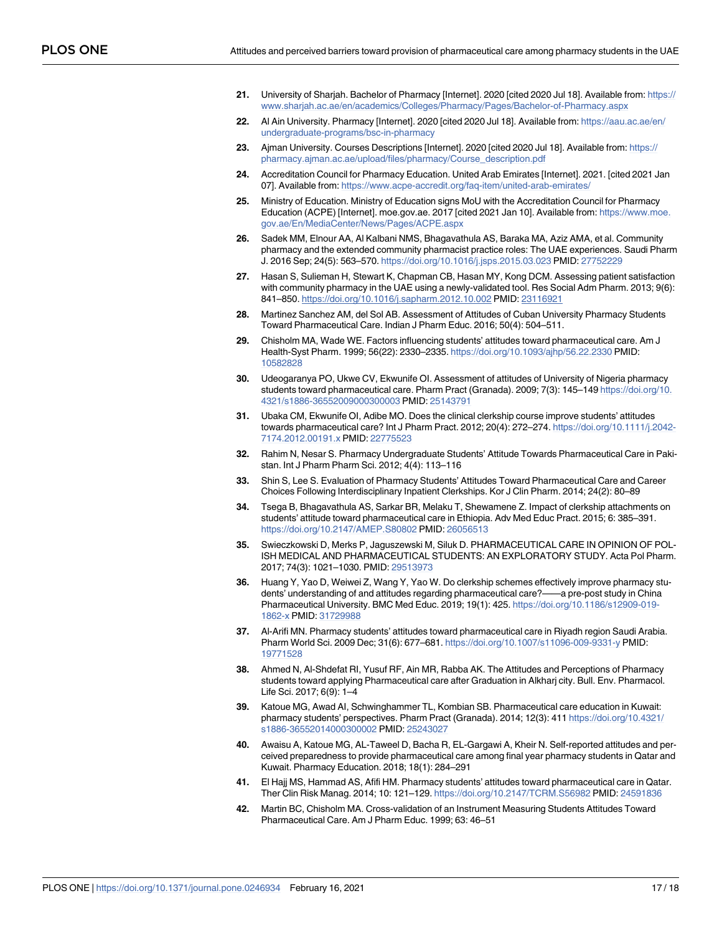- <span id="page-16-0"></span>**21.** University of Sharjah. Bachelor of Pharmacy [Internet]. 2020 [cited 2020 Jul 18]. Available from: [https://](https://www.sharjah.ac.ae/en/academics/Colleges/Pharmacy/Pages/Bachelor-of-Pharmacy.aspx) [www.sharjah.ac.ae/en/academics/Colleges/Pharmacy/Pages/Bachelor-of-Pharmacy.aspx](https://www.sharjah.ac.ae/en/academics/Colleges/Pharmacy/Pages/Bachelor-of-Pharmacy.aspx)
- **22.** Al Ain University. Pharmacy [Internet]. 2020 [cited 2020 Jul 18]. Available from: [https://aau.ac.ae/en/](https://aau.ac.ae/en/undergraduate-programs/bsc-in-pharmacy) [undergraduate-programs/bsc-in-pharmacy](https://aau.ac.ae/en/undergraduate-programs/bsc-in-pharmacy)
- **[23](#page-1-0).** Ajman University. Courses Descriptions [Internet]. 2020 [cited 2020 Jul 18]. Available from: [https://](https://pharmacy.ajman.ac.ae/upload/files/pharmacy/Course_description.pdf) [pharmacy.ajman.ac.ae/upload/files/pharmacy/Course\\_description.pdf](https://pharmacy.ajman.ac.ae/upload/files/pharmacy/Course_description.pdf)
- **[24](#page-1-0).** Accreditation Council for Pharmacy Education. United Arab Emirates [Internet]. 2021. [cited 2021 Jan 07]. Available from: <https://www.acpe-accredit.org/faq-item/united-arab-emirates/>
- **[25](#page-1-0).** Ministry of Education. Ministry of Education signs MoU with the Accreditation Council for Pharmacy Education (ACPE) [Internet]. moe.gov.ae. 2017 [cited 2021 Jan 10]. Available from: [https://www.moe.](https://www.moe.gov.ae/En/MediaCenter/News/Pages/ACPE.aspx) [gov.ae/En/MediaCenter/News/Pages/ACPE.aspx](https://www.moe.gov.ae/En/MediaCenter/News/Pages/ACPE.aspx)
- **[26](#page-2-0).** Sadek MM, Elnour AA, Al Kalbani NMS, Bhagavathula AS, Baraka MA, Aziz AMA, et al. Community pharmacy and the extended community pharmacist practice roles: The UAE experiences. Saudi Pharm J. 2016 Sep; 24(5): 563–570. <https://doi.org/10.1016/j.jsps.2015.03.023> PMID: [27752229](http://www.ncbi.nlm.nih.gov/pubmed/27752229)
- **[27](#page-2-0).** Hasan S, Sulieman H, Stewart K, Chapman CB, Hasan MY, Kong DCM. Assessing patient satisfaction with community pharmacy in the UAE using a newly-validated tool. Res Social Adm Pharm. 2013; 9(6): 841–850. <https://doi.org/10.1016/j.sapharm.2012.10.002> PMID: [23116921](http://www.ncbi.nlm.nih.gov/pubmed/23116921)
- **[28](#page-2-0).** Martinez Sanchez AM, del Sol AB. Assessment of Attitudes of Cuban University Pharmacy Students Toward Pharmaceutical Care. Indian J Pharm Educ. 2016; 50(4): 504–511.
- **[29](#page-3-0).** Chisholm MA, Wade WE. Factors influencing students' attitudes toward pharmaceutical care. Am J Health-Syst Pharm. 1999; 56(22): 2330–2335. <https://doi.org/10.1093/ajhp/56.22.2330> PMID: [10582828](http://www.ncbi.nlm.nih.gov/pubmed/10582828)
- **[30](#page-3-0).** Udeogaranya PO, Ukwe CV, Ekwunife OI. Assessment of attitudes of University of Nigeria pharmacy students toward pharmaceutical care. Pharm Pract (Granada). 2009; 7(3): 145–149 [https://doi.org/10.](https://doi.org/10.4321/s1886-36552009000300003) [4321/s1886-36552009000300003](https://doi.org/10.4321/s1886-36552009000300003) PMID: [25143791](http://www.ncbi.nlm.nih.gov/pubmed/25143791)
- **[31](#page-11-0).** Ubaka CM, Ekwunife OI, Adibe MO. Does the clinical clerkship course improve students' attitudes towards pharmaceutical care? Int J Pharm Pract. 2012; 20(4): 272–274. [https://doi.org/10.1111/j.2042-](https://doi.org/10.1111/j.2042-7174.2012.00191.x) [7174.2012.00191.x](https://doi.org/10.1111/j.2042-7174.2012.00191.x) PMID: [22775523](http://www.ncbi.nlm.nih.gov/pubmed/22775523)
- **[32](#page-10-0).** Rahim N, Nesar S. Pharmacy Undergraduate Students' Attitude Towards Pharmaceutical Care in Pakistan. Int J Pharm Pharm Sci. 2012; 4(4): 113–116
- **33.** Shin S, Lee S. Evaluation of Pharmacy Students' Attitudes Toward Pharmaceutical Care and Career Choices Following Interdisciplinary Inpatient Clerkships. Kor J Clin Pharm. 2014; 24(2): 80–89
- **[34](#page-3-0).** Tsega B, Bhagavathula AS, Sarkar BR, Melaku T, Shewamene Z. Impact of clerkship attachments on students' attitude toward pharmaceutical care in Ethiopia. Adv Med Educ Pract. 2015; 6: 385–391. <https://doi.org/10.2147/AMEP.S80802> PMID: [26056513](http://www.ncbi.nlm.nih.gov/pubmed/26056513)
- **[35](#page-10-0).** Swieczkowski D, Merks P, Jaguszewski M, Siluk D. PHARMACEUTICAL CARE IN OPINION OF POL-ISH MEDICAL AND PHARMACEUTICAL STUDENTS: AN EXPLORATORY STUDY. Acta Pol Pharm. 2017; 74(3): 1021–1030. PMID: [29513973](http://www.ncbi.nlm.nih.gov/pubmed/29513973)
- **[36](#page-2-0).** Huang Y, Yao D, Weiwei Z, Wang Y, Yao W. Do clerkship schemes effectively improve pharmacy students' understanding of and attitudes regarding pharmaceutical care?——a pre-post study in China Pharmaceutical University. BMC Med Educ. 2019; 19(1): 425. [https://doi.org/10.1186/s12909-019-](https://doi.org/10.1186/s12909-019-1862-x) [1862-x](https://doi.org/10.1186/s12909-019-1862-x) PMID: [31729988](http://www.ncbi.nlm.nih.gov/pubmed/31729988)
- **[37](#page-2-0).** Al-Arifi MN. Pharmacy students' attitudes toward pharmaceutical care in Riyadh region Saudi Arabia. Pharm World Sci. 2009 Dec; 31(6): 677–681. <https://doi.org/10.1007/s11096-009-9331-y> PMID: [19771528](http://www.ncbi.nlm.nih.gov/pubmed/19771528)
- **[38](#page-2-0).** Ahmed N, Al-Shdefat RI, Yusuf RF, Ain MR, Rabba AK. The Attitudes and Perceptions of Pharmacy students toward applying Pharmaceutical care after Graduation in Alkharj city. Bull. Env. Pharmacol. Life Sci. 2017; 6(9): 1–4
- **[39](#page-2-0).** Katoue MG, Awad AI, Schwinghammer TL, Kombian SB. Pharmaceutical care education in Kuwait: pharmacy students' perspectives. Pharm Pract (Granada). 2014; 12(3): 411 [https://doi.org/10.4321/](https://doi.org/10.4321/s1886-36552014000300002) [s1886-36552014000300002](https://doi.org/10.4321/s1886-36552014000300002) PMID: [25243027](http://www.ncbi.nlm.nih.gov/pubmed/25243027)
- **[40](#page-2-0).** Awaisu A, Katoue MG, AL-Taweel D, Bacha R, EL-Gargawi A, Kheir N. Self-reported attitudes and perceived preparedness to provide pharmaceutical care among final year pharmacy students in Qatar and Kuwait. Pharmacy Education. 2018; 18(1): 284–291
- **[41](#page-2-0).** El Hajj MS, Hammad AS, Afifi HM. Pharmacy students' attitudes toward pharmaceutical care in Qatar. Ther Clin Risk Manag. 2014; 10: 121–129. <https://doi.org/10.2147/TCRM.S56982> PMID: [24591836](http://www.ncbi.nlm.nih.gov/pubmed/24591836)
- **[42](#page-2-0).** Martin BC, Chisholm MA. Cross-validation of an Instrument Measuring Students Attitudes Toward Pharmaceutical Care. Am J Pharm Educ. 1999; 63: 46–51